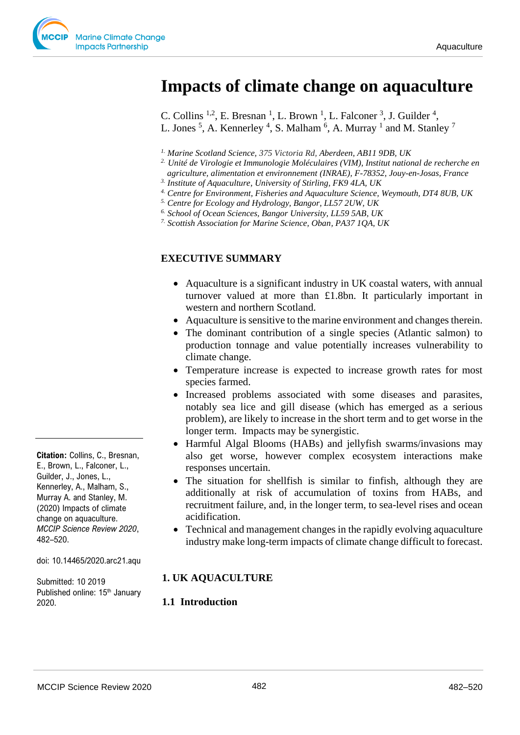# **Impacts of climate change on aquaculture**

C. Collins <sup>1,2</sup>, E. Bresnan<sup>1</sup>, L. Brown<sup>1</sup>, L. Falconer<sup>3</sup>, J. Guilder<sup>4</sup>, L. Jones <sup>5</sup>, A. Kennerley <sup>4</sup>, S. Malham <sup>6</sup>, A. Murray <sup>1</sup> and M. Stanley <sup>7</sup>

*1. Marine Scotland Science, 375 Victoria Rd, Aberdeen, AB11 9DB, UK*

- *2. Unité de Virologie et Immunologie Moléculaires (VIM), Institut national de recherche en* 
	- *agriculture, alimentation et environnement (INRAE), F-78352, Jouy-en-Josas, France*
- *3. Institute of Aquaculture, University of Stirling, FK9 4LA, UK*
- *4. Centre for Environment, Fisheries and Aquaculture Science, Weymouth, DT4 8UB, UK*
- *5. Centre for Ecology and Hydrology, Bangor, LL57 2UW, UK*

*6. School of Ocean Sciences, Bangor University, LL59 5AB, UK*

*7. Scottish Association for Marine Science, Oban, PA37 1QA, UK*

## **EXECUTIVE SUMMARY**

- Aquaculture is a significant industry in UK coastal waters, with annual turnover valued at more than £1.8bn. It particularly important in western and northern Scotland.
- Aquaculture is sensitive to the marine environment and changes therein.
- The dominant contribution of a single species (Atlantic salmon) to production tonnage and value potentially increases vulnerability to climate change.
- Temperature increase is expected to increase growth rates for most species farmed.
- Increased problems associated with some diseases and parasites, notably sea lice and gill disease (which has emerged as a serious problem), are likely to increase in the short term and to get worse in the longer term. Impacts may be synergistic.
- Harmful Algal Blooms (HABs) and jellyfish swarms/invasions may also get worse, however complex ecosystem interactions make responses uncertain.
- The situation for shellfish is similar to finfish, although they are additionally at risk of accumulation of toxins from HABs, and recruitment failure, and, in the longer term, to sea-level rises and ocean acidification.
- Technical and management changes in the rapidly evolving aquaculture industry make long-term impacts of climate change difficult to forecast.

#### **1. UK AQUACULTURE**

**1.1 Introduction**

**Citation:** Collins, C., Bresnan, E., Brown, L., Falconer, L., Guilder, J., Jones, L., Kennerley, A., Malham, S., Murray A. and Stanley, M. (2020) Impacts of climate change on aquaculture. *MCCIP Science Review 2020*, 482–520.

doi: 10.14465/2020.arc21.aqu

Submitted: 10 2019 Published online: 15<sup>th</sup> January 2020.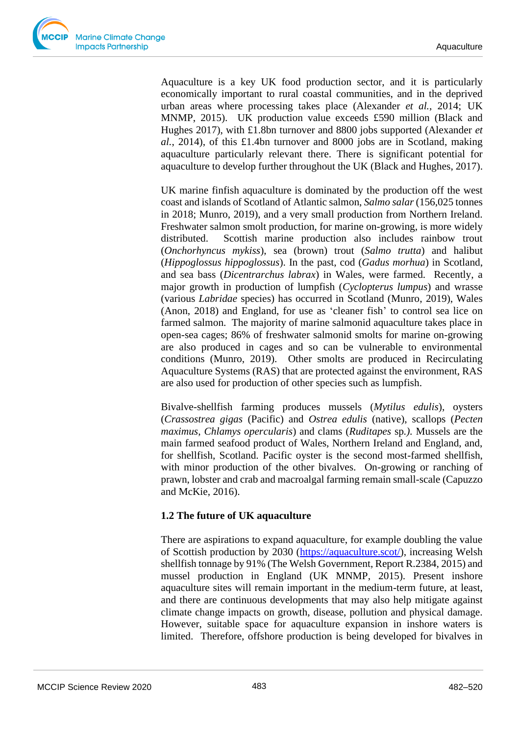Aquaculture is a key UK food production sector, and it is particularly economically important to rural coastal communities, and in the deprived urban areas where processing takes place (Alexander *et al.*, 2014; UK MNMP, 2015). UK production value exceeds £590 million (Black and Hughes 2017), with £1.8bn turnover and 8800 jobs supported (Alexander *et al.*, 2014), of this £1.4bn turnover and 8000 jobs are in Scotland, making aquaculture particularly relevant there. There is significant potential for aquaculture to develop further throughout the UK (Black and Hughes, 2017).

UK marine finfish aquaculture is dominated by the production off the west coast and islands of Scotland of Atlantic salmon, *Salmo salar* (156,025 tonnes in 2018; Munro, 2019), and a very small production from Northern Ireland. Freshwater salmon smolt production, for marine on-growing, is more widely distributed. Scottish marine production also includes rainbow trout (*Onchorhyncus mykiss*), sea (brown) trout (*Salmo trutta*) and halibut (*Hippoglossus hippoglossus*). In the past, cod (*Gadus morhua*) in Scotland, and sea bass (*Dicentrarchus labrax*) in Wales, were farmed. Recently, a major growth in production of lumpfish (*Cyclopterus lumpus*) and wrasse (various *Labridae* species) has occurred in Scotland (Munro, 2019), Wales (Anon, 2018) and England, for use as 'cleaner fish' to control sea lice on farmed salmon. The majority of marine salmonid aquaculture takes place in open-sea cages; 86% of freshwater salmonid smolts for marine on-growing are also produced in cages and so can be vulnerable to environmental conditions (Munro, 2019). Other smolts are produced in Recirculating Aquaculture Systems (RAS) that are protected against the environment, RAS are also used for production of other species such as lumpfish.

Bivalve-shellfish farming produces mussels (*Mytilus edulis*), oysters (*Crassostrea gigas* (Pacific) and *Ostrea edulis* (native), scallops (*Pecten maximus*, *Chlamys opercularis*) and clams (*Ruditapes* sp*.).* Mussels are the main farmed seafood product of Wales, Northern Ireland and England, and, for shellfish, Scotland. Pacific oyster is the second most-farmed shellfish, with minor production of the other bivalves. On-growing or ranching of prawn, lobster and crab and macroalgal farming remain small-scale (Capuzzo and McKie, 2016).

## **1.2 The future of UK aquaculture**

There are aspirations to expand aquaculture, for example doubling the value of Scottish production by 2030 [\(https://aquaculture.scot/\)](https://aquaculture.scot/), increasing Welsh shellfish tonnage by 91% (The Welsh Government, Report R.2384, 2015) and mussel production in England (UK MNMP, 2015). Present inshore aquaculture sites will remain important in the medium-term future, at least, and there are continuous developments that may also help mitigate against climate change impacts on growth, disease, pollution and physical damage. However, suitable space for aquaculture expansion in inshore waters is limited. Therefore, offshore production is being developed for bivalves in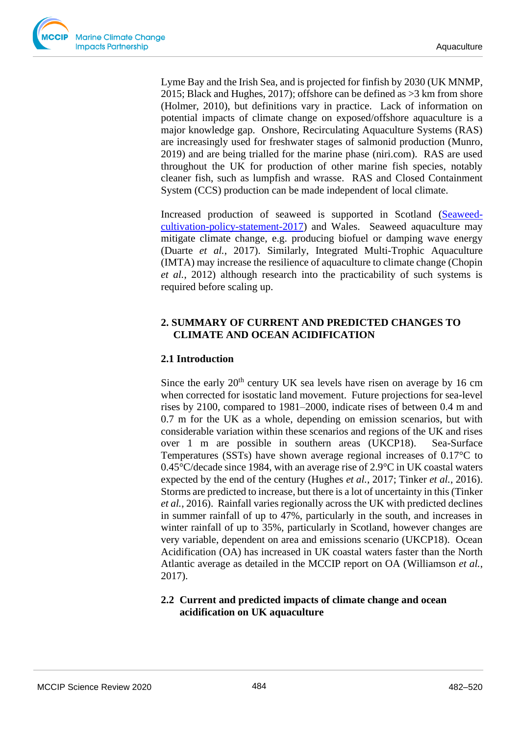

Lyme Bay and the Irish Sea, and is projected for finfish by 2030 (UK MNMP, 2015; Black and Hughes, 2017); offshore can be defined as >3 km from shore (Holmer, 2010), but definitions vary in practice. Lack of information on potential impacts of climate change on exposed/offshore aquaculture is a major knowledge gap. Onshore, Recirculating Aquaculture Systems (RAS) are increasingly used for freshwater stages of salmonid production (Munro, 2019) and are being trialled for the marine phase (niri.com). RAS are used throughout the UK for production of other marine fish species, notably cleaner fish, such as lumpfish and wrasse. RAS and Closed Containment System (CCS) production can be made independent of local climate.

Increased production of seaweed is supported in Scotland [\(Seaweed](https://beta.gov.scot/publications/seaweed-cultivation-policy-statement-2017/)[cultivation-policy-statement-2017\)](https://beta.gov.scot/publications/seaweed-cultivation-policy-statement-2017/) and Wales. Seaweed aquaculture may mitigate climate change, e.g. producing biofuel or damping wave energy (Duarte *et al.*, 2017). Similarly, Integrated Multi-Trophic Aquaculture (IMTA) may increase the resilience of aquaculture to climate change (Chopin *et al.*, 2012) although research into the practicability of such systems is required before scaling up.

#### **2. SUMMARY OF CURRENT AND PREDICTED CHANGES TO CLIMATE AND OCEAN ACIDIFICATION**

# **2.1 Introduction**

Since the early  $20<sup>th</sup>$  century UK sea levels have risen on average by 16 cm when corrected for isostatic land movement. Future projections for sea-level rises by 2100, compared to 1981–2000, indicate rises of between 0.4 m and 0.7 m for the UK as a whole, depending on emission scenarios, but with considerable variation within these scenarios and regions of the UK and rises over 1 m are possible in southern areas (UKCP18). Sea-Surface Temperatures (SSTs) have shown average regional increases of  $0.17^{\circ}$ C to 0.45°C/decade since 1984, with an average rise of 2.9°C in UK coastal waters expected by the end of the century (Hughes *et al.*, 2017; Tinker *et al.*, 2016). Storms are predicted to increase, but there is a lot of uncertainty in this (Tinker *et al.*, 2016). Rainfall varies regionally across the UK with predicted declines in summer rainfall of up to 47%, particularly in the south, and increases in winter rainfall of up to 35%, particularly in Scotland, however changes are very variable, dependent on area and emissions scenario (UKCP18). Ocean Acidification (OA) has increased in UK coastal waters faster than the North Atlantic average as detailed in the MCCIP report on OA (Williamson *et al.*, 2017).

## **2.2 Current and predicted impacts of climate change and ocean acidification on UK aquaculture**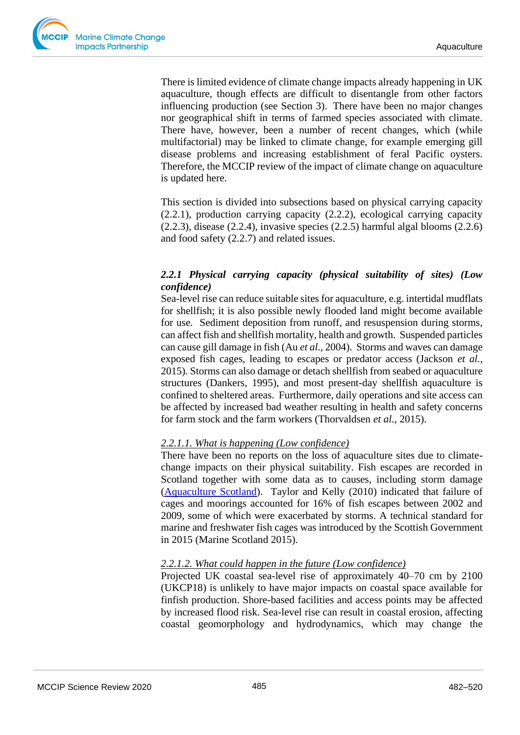

There is limited evidence of climate change impacts already happening in UK aquaculture, though effects are difficult to disentangle from other factors influencing production (see Section 3). There have been no major changes nor geographical shift in terms of farmed species associated with climate. There have, however, been a number of recent changes, which (while multifactorial) may be linked to climate change, for example emerging gill disease problems and increasing establishment of feral Pacific oysters. Therefore, the MCCIP review of the impact of climate change on aquaculture is updated here.

This section is divided into subsections based on physical carrying capacity (2.2.1), production carrying capacity (2.2.2), ecological carrying capacity (2.2.3), disease (2.2.4), invasive species (2.2.5) harmful algal blooms (2.2.6) and food safety (2.2.7) and related issues.

# *2.2.1 Physical carrying capacity (physical suitability of sites) (Low confidence)*

Sea-level rise can reduce suitable sites for aquaculture, e.g. intertidal mudflats for shellfish; it is also possible newly flooded land might become available for use. Sediment deposition from runoff, and resuspension during storms, can affect fish and shellfish mortality, health and growth. Suspended particles can cause gill damage in fish (Au *et al.*, 2004). Storms and waves can damage exposed fish cages, leading to escapes or predator access (Jackson *et al.*, 2015). Storms can also damage or detach shellfish from seabed or aquaculture structures (Dankers, 1995), and most present-day shellfish aquaculture is confined to sheltered areas. Furthermore, daily operations and site access can be affected by increased bad weather resulting in health and safety concerns for farm stock and the farm workers (Thorvaldsen *et al.*, 2015).

## *2.2.1.1. What is happening (Low confidence)*

There have been no reports on the loss of aquaculture sites due to climatechange impacts on their physical suitability. Fish escapes are recorded in Scotland together with some data as to causes, including storm damage [\(Aquaculture Scotland\)](http://aquaculture.scotland.gov.uk/default.aspx). Taylor and Kelly (2010) indicated that failure of cages and moorings accounted for 16% of fish escapes between 2002 and 2009, some of which were exacerbated by storms. A technical standard for marine and freshwater fish cages was introduced by the Scottish Government in 2015 (Marine Scotland 2015).

## *2.2.1.2. What could happen in the future (Low confidence)*

Projected UK coastal sea-level rise of approximately 40–70 cm by 2100 (UKCP18) is unlikely to have major impacts on coastal space available for finfish production. Shore-based facilities and access points may be affected by increased flood risk. Sea-level rise can result in coastal erosion, affecting coastal geomorphology and hydrodynamics, which may change the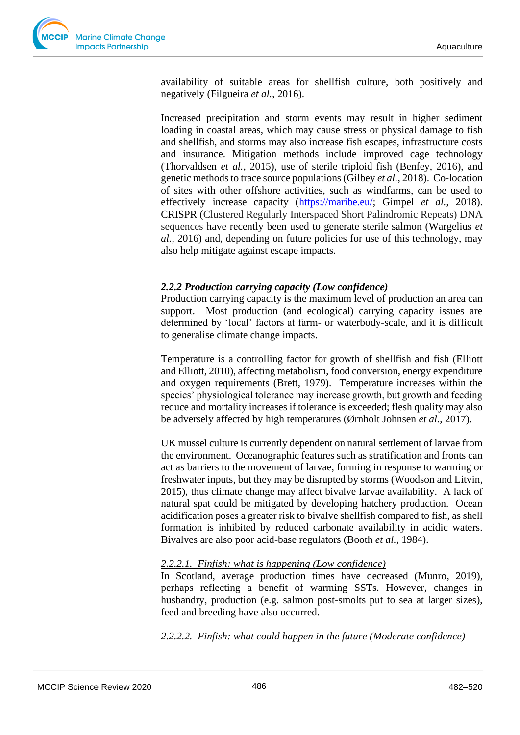availability of suitable areas for shellfish culture, both positively and negatively (Filgueira *et al.*, 2016).

Increased precipitation and storm events may result in higher sediment loading in coastal areas, which may cause stress or physical damage to fish and shellfish, and storms may also increase fish escapes, infrastructure costs and insurance. Mitigation methods include improved cage technology (Thorvaldsen *et al.*, 2015), use of sterile triploid fish (Benfey, 2016), and genetic methods to trace source populations (Gilbey *et al.*, 2018). Co-location of sites with other offshore activities, such as windfarms, can be used to effectively increase capacity [\(https://maribe.eu/;](https://maribe.eu/) Gimpel *et al.*, 2018). CRISPR (Clustered Regularly Interspaced Short Palindromic Repeats) DNA sequences have recently been used to generate sterile salmon (Wargelius *et al.*, 2016) and, depending on future policies for use of this technology, may also help mitigate against escape impacts.

## *2.2.2 Production carrying capacity (Low confidence)*

Production carrying capacity is the maximum level of production an area can support. Most production (and ecological) carrying capacity issues are determined by 'local' factors at farm- or waterbody-scale, and it is difficult to generalise climate change impacts.

Temperature is a controlling factor for growth of shellfish and fish (Elliott and Elliott, 2010), affecting metabolism, food conversion, energy expenditure and oxygen requirements (Brett, 1979). Temperature increases within the species' physiological tolerance may increase growth, but growth and feeding reduce and mortality increases if tolerance is exceeded; flesh quality may also be adversely affected by high temperatures (Ørnholt Johnsen *et al.*, 2017).

UK mussel culture is currently dependent on natural settlement of larvae from the environment. Oceanographic features such as stratification and fronts can act as barriers to the movement of larvae, forming in response to warming or freshwater inputs, but they may be disrupted by storms (Woodson and Litvin, 2015), thus climate change may affect bivalve larvae availability. A lack of natural spat could be mitigated by developing hatchery production. Ocean acidification poses a greater risk to bivalve shellfish compared to fish, as shell formation is inhibited by reduced carbonate availability in acidic waters. Bivalves are also poor acid-base regulators (Booth *et al.*, 1984).

## *2.2.2.1. Finfish: what is happening (Low confidence)*

In Scotland, average production times have decreased (Munro, 2019), perhaps reflecting a benefit of warming SSTs. However, changes in husbandry, production (e.g. salmon post-smolts put to sea at larger sizes), feed and breeding have also occurred.

*2.2.2.2. Finfish: what could happen in the future (Moderate confidence)*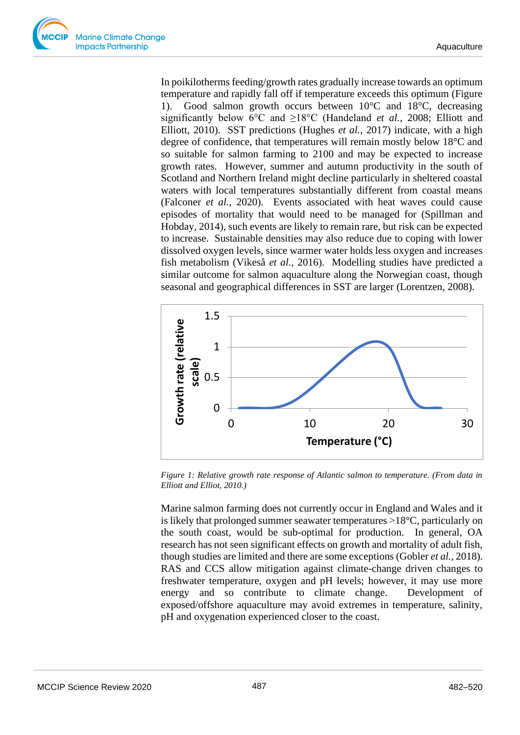In poikilotherms feeding/growth rates gradually increase towards an optimum temperature and rapidly fall off if temperature exceeds this optimum (Figure 1). Good salmon growth occurs between 10°C and 18°C, decreasing significantly below 6°C and ≥18°C (Handeland *et al.*, 2008; Elliott and Elliott, 2010). SST predictions (Hughes *et al.*, 2017) indicate, with a high degree of confidence, that temperatures will remain mostly below 18°C and so suitable for salmon farming to 2100 and may be expected to increase growth rates. However, summer and autumn productivity in the south of Scotland and Northern Ireland might decline particularly in sheltered coastal waters with local temperatures substantially different from coastal means (Falconer *et al.*, 2020). Events associated with heat waves could cause episodes of mortality that would need to be managed for (Spillman and Hobday, 2014), such events are likely to remain rare, but risk can be expected to increase. Sustainable densities may also reduce due to coping with lower dissolved oxygen levels, since warmer water holds less oxygen and increases fish metabolism (Vikeså *et al.*, 2016). Modelling studies have predicted a similar outcome for salmon aquaculture along the Norwegian coast, though seasonal and geographical differences in SST are larger (Lorentzen, 2008).



*Figure 1: Relative growth rate response of Atlantic salmon to temperature. (From data in Elliott and Elliot, 2010.)* 

Marine salmon farming does not currently occur in England and Wales and it is likely that prolonged summer seawater temperatures >18°C, particularly on the south coast, would be sub-optimal for production. In general, OA research has not seen significant effects on growth and mortality of adult fish, though studies are limited and there are some exceptions (Gobler *et al.*, 2018). RAS and CCS allow mitigation against climate-change driven changes to freshwater temperature, oxygen and pH levels; however, it may use more energy and so contribute to climate change. Development of exposed/offshore aquaculture may avoid extremes in temperature, salinity, pH and oxygenation experienced closer to the coast.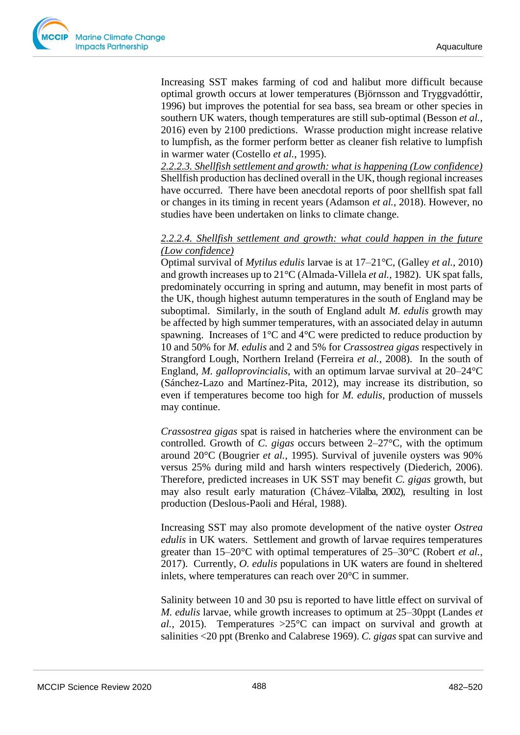Increasing SST makes farming of cod and halibut more difficult because optimal growth occurs at lower temperatures (Björnsson and Tryggvadóttir, 1996) but improves the potential for sea bass, sea bream or other species in southern UK waters, though temperatures are still sub-optimal (Besson *et al.*, 2016) even by 2100 predictions. Wrasse production might increase relative to lumpfish, as the former perform better as cleaner fish relative to lumpfish in warmer water (Costello *et al.*, 1995).

*2.2.2.3. Shellfish settlement and growth: what is happening (Low confidence)* Shellfish production has declined overall in the UK, though regional increases have occurred. There have been anecdotal reports of poor shellfish spat fall or changes in its timing in recent years (Adamson *et al.*, 2018). However, no studies have been undertaken on links to climate change.

#### *2.2.2.4. Shellfish settlement and growth: what could happen in the future (Low confidence)*

Optimal survival of *Mytilus edulis* larvae is at 17–21°C, (Galley *et al.*, 2010) and growth increases up to 21°C (Almada-Villela *et al.*, 1982). UK spat falls, predominately occurring in spring and autumn, may benefit in most parts of the UK, though highest autumn temperatures in the south of England may be suboptimal. Similarly, in the south of England adult *M. edulis* growth may be affected by high summer temperatures, with an associated delay in autumn spawning. Increases of  $1^{\circ}$ C and  $4^{\circ}$ C were predicted to reduce production by 10 and 50% for *M. edulis* and 2 and 5% for *Crassostrea gigas* respectively in Strangford Lough, Northern Ireland (Ferreira *et al.*, 2008). In the south of England, *M. galloprovincialis*, with an optimum larvae survival at 20–24°C (Sánchez-Lazo and Martínez-Pita, 2012), may increase its distribution, so even if temperatures become too high for *M. edulis,* production of mussels may continue.

*Crassostrea gigas* spat is raised in hatcheries where the environment can be controlled. Growth of *C. gigas* occurs between 2–27°C, with the optimum around 20°C (Bougrier *et al.*, 1995). Survival of juvenile oysters was 90% versus 25% during mild and harsh winters respectively (Diederich, 2006). Therefore, predicted increases in UK SST may benefit *C. gigas* growth, but may also result early maturation (Chávez–Vilalba, 2002), resulting in lost production (Deslous-Paoli and Héral, 1988).

Increasing SST may also promote development of the native oyster *Ostrea edulis* in UK waters. Settlement and growth of larvae requires temperatures greater than 15–20°C with optimal temperatures of 25–30°C (Robert *et al.*, 2017). Currently, *O. edulis* populations in UK waters are found in sheltered inlets, where temperatures can reach over 20°C in summer.

Salinity between 10 and 30 psu is reported to have little effect on survival of *M. edulis* larvae, while growth increases to optimum at 25–30ppt (Landes *et al.*, 2015). Temperatures >25°C can impact on survival and growth at salinities <20 ppt (Brenko and Calabrese 1969). *C. gigas* spat can survive and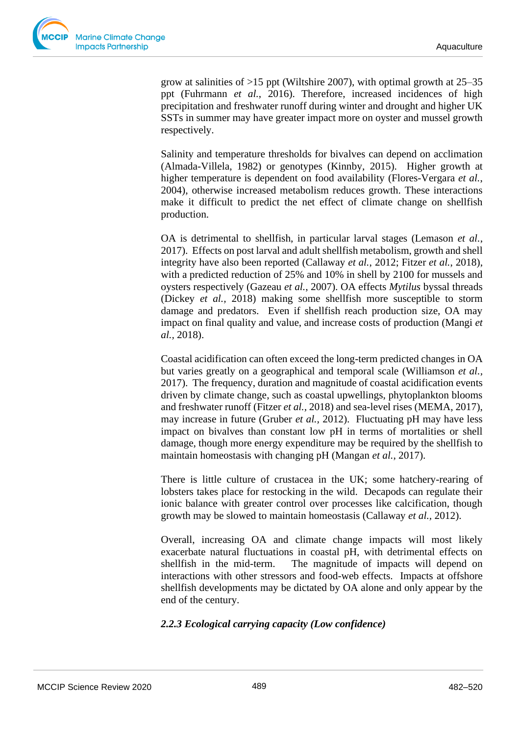

grow at salinities of >15 ppt (Wiltshire 2007), with optimal growth at 25–35 ppt (Fuhrmann *et al.*, 2016). Therefore, increased incidences of high precipitation and freshwater runoff during winter and drought and higher UK SSTs in summer may have greater impact more on oyster and mussel growth respectively.

Salinity and temperature thresholds for bivalves can depend on acclimation (Almada-Villela, 1982) or genotypes (Kinnby, 2015). Higher growth at higher temperature is dependent on food availability (Flores-Vergara *et al.*, 2004), otherwise increased metabolism reduces growth. These interactions make it difficult to predict the net effect of climate change on shellfish production.

OA is detrimental to shellfish, in particular larval stages (Lemason *et al.*, 2017). Effects on post larval and adult shellfish metabolism, growth and shell integrity have also been reported (Callaway *et al.*, 2012; Fitzer *et al.*, 2018), with a predicted reduction of 25% and 10% in shell by 2100 for mussels and oysters respectively (Gazeau *et al.*, 2007). OA effects *Mytilus* byssal threads (Dickey *et al.,* 2018) making some shellfish more susceptible to storm damage and predators. Even if shellfish reach production size, OA may impact on final quality and value, and increase costs of production (Mangi *et al.,* 2018).

Coastal acidification can often exceed the long-term predicted changes in OA but varies greatly on a geographical and temporal scale (Williamson *et al.,* 2017). The frequency, duration and magnitude of coastal acidification events driven by climate change, such as coastal upwellings, phytoplankton blooms and freshwater runoff (Fitzer *et al.,* 2018) and sea-level rises (MEMA, 2017), may increase in future (Gruber *et al.,* 2012). Fluctuating pH may have less impact on bivalves than constant low pH in terms of mortalities or shell damage, though more energy expenditure may be required by the shellfish to maintain homeostasis with changing pH (Mangan *et al.*, 2017).

There is little culture of crustacea in the UK; some hatchery-rearing of lobsters takes place for restocking in the wild. Decapods can regulate their ionic balance with greater control over processes like calcification, though growth may be slowed to maintain homeostasis (Callaway *et al.,* 2012).

Overall, increasing OA and climate change impacts will most likely exacerbate natural fluctuations in coastal pH, with detrimental effects on shellfish in the mid-term. The magnitude of impacts will depend on interactions with other stressors and food-web effects. Impacts at offshore shellfish developments may be dictated by OA alone and only appear by the end of the century.

# *2.2.3 Ecological carrying capacity (Low confidence)*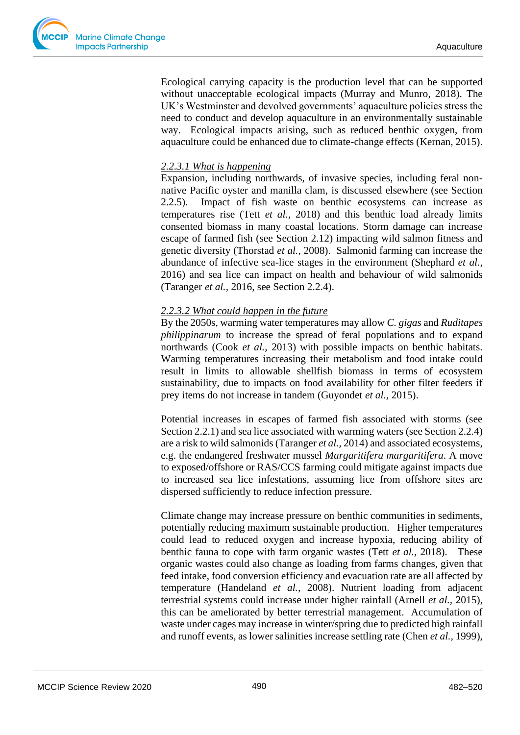

Ecological carrying capacity is the production level that can be supported without unacceptable ecological impacts (Murray and Munro, 2018). The UK's Westminster and devolved governments' aquaculture policies stress the need to conduct and develop aquaculture in an environmentally sustainable way. Ecological impacts arising, such as reduced benthic oxygen, from aquaculture could be enhanced due to climate-change effects (Kernan, 2015).

#### *2.2.3.1 What is happening*

Expansion, including northwards, of invasive species, including feral nonnative Pacific oyster and manilla clam, is discussed elsewhere (see Section 2.2.5). Impact of fish waste on benthic ecosystems can increase as temperatures rise (Tett *et al.,* 2018) and this benthic load already limits consented biomass in many coastal locations. Storm damage can increase escape of farmed fish (see Section 2.12) impacting wild salmon fitness and genetic diversity (Thorstad *et al.,* 2008). Salmonid farming can increase the abundance of infective sea-lice stages in the environment (Shephard *et al.,* 2016) and sea lice can impact on health and behaviour of wild salmonids (Taranger *et al.,* 2016, see Section 2.2.4).

#### *2.2.3.2 What could happen in the future*

By the 2050s, warming water temperatures may allow *C. gigas* and *Ruditapes philippinarum* to increase the spread of feral populations and to expand northwards (Cook *et al.,* 2013) with possible impacts on benthic habitats. Warming temperatures increasing their metabolism and food intake could result in limits to allowable shellfish biomass in terms of ecosystem sustainability, due to impacts on food availability for other filter feeders if prey items do not increase in tandem (Guyondet *et al.,* 2015).

Potential increases in escapes of farmed fish associated with storms (see Section 2.2.1) and sea lice associated with warming waters (see Section 2.2.4) are a risk to wild salmonids (Taranger *et al.,* 2014) and associated ecosystems, e.g. the endangered freshwater mussel *Margaritifera margaritifera*. A move to exposed/offshore or RAS/CCS farming could mitigate against impacts due to increased sea lice infestations, assuming lice from offshore sites are dispersed sufficiently to reduce infection pressure.

Climate change may increase pressure on benthic communities in sediments, potentially reducing maximum sustainable production. Higher temperatures could lead to reduced oxygen and increase hypoxia, reducing ability of benthic fauna to cope with farm organic wastes (Tett *et al.,* 2018). These organic wastes could also change as loading from farms changes, given that feed intake, food conversion efficiency and evacuation rate are all affected by temperature (Handeland *et al.,* 2008). Nutrient loading from adjacent terrestrial systems could increase under higher rainfall (Arnell *et al.,* 2015), this can be ameliorated by better terrestrial management. Accumulation of waste under cages may increase in winter/spring due to predicted high rainfall and runoff events, as lower salinities increase settling rate (Chen *et al.,* 1999),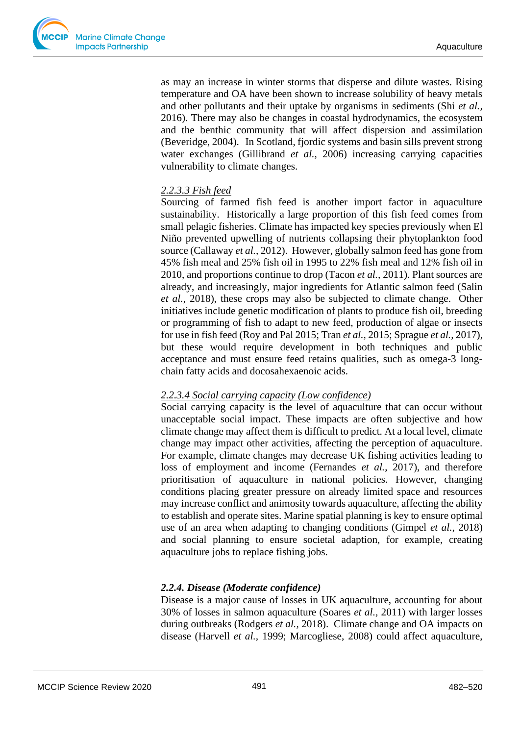as may an increase in winter storms that disperse and dilute wastes. Rising temperature and OA have been shown to increase solubility of heavy metals and other pollutants and their uptake by organisms in sediments (Shi *et al.,*  2016). There may also be changes in coastal hydrodynamics, the ecosystem and the benthic community that will affect dispersion and assimilation (Beveridge, 2004). In Scotland, fjordic systems and basin sills prevent strong water exchanges (Gillibrand *et al.,* 2006) increasing carrying capacities vulnerability to climate changes.

## *2.2.3.3 Fish feed*

Sourcing of farmed fish feed is another import factor in aquaculture sustainability. Historically a large proportion of this fish feed comes from small pelagic fisheries. Climate has impacted key species previously when El Niño prevented upwelling of nutrients collapsing their phytoplankton food source (Callaway *et al.,* 2012). However, globally salmon feed has gone from 45% fish meal and 25% fish oil in 1995 to 22% fish meal and 12% fish oil in 2010, and proportions continue to drop (Tacon *et al.,* 2011). Plant sources are already, and increasingly, major ingredients for Atlantic salmon feed (Salin *et al.,* 2018), these crops may also be subjected to climate change. Other initiatives include genetic modification of plants to produce fish oil, breeding or programming of fish to adapt to new feed, production of algae or insects for use in fish feed (Roy and Pal 2015; Tran *et al.,* 2015; Sprague *et al.,* 2017), but these would require development in both techniques and public acceptance and must ensure feed retains qualities, such as omega-3 longchain fatty acids and docosahexaenoic acids.

## *2.2.3.4 Social carrying capacity (Low confidence)*

Social carrying capacity is the level of aquaculture that can occur without unacceptable social impact. These impacts are often subjective and how climate change may affect them is difficult to predict. At a local level, climate change may impact other activities, affecting the perception of aquaculture. For example, climate changes may decrease UK fishing activities leading to loss of employment and income (Fernandes *et al.*, 2017), and therefore prioritisation of aquaculture in national policies. However, changing conditions placing greater pressure on already limited space and resources may increase conflict and animosity towards aquaculture, affecting the ability to establish and operate sites. Marine spatial planning is key to ensure optimal use of an area when adapting to changing conditions (Gimpel *et al.,* 2018) and social planning to ensure societal adaption, for example, creating aquaculture jobs to replace fishing jobs.

## *2.2.4. Disease (Moderate confidence)*

Disease is a major cause of losses in UK aquaculture, accounting for about 30% of losses in salmon aquaculture (Soares *et al.,* 2011) with larger losses during outbreaks (Rodgers *et al.,* 2018). Climate change and OA impacts on disease (Harvell *et al.,* 1999; Marcogliese, 2008) could affect aquaculture,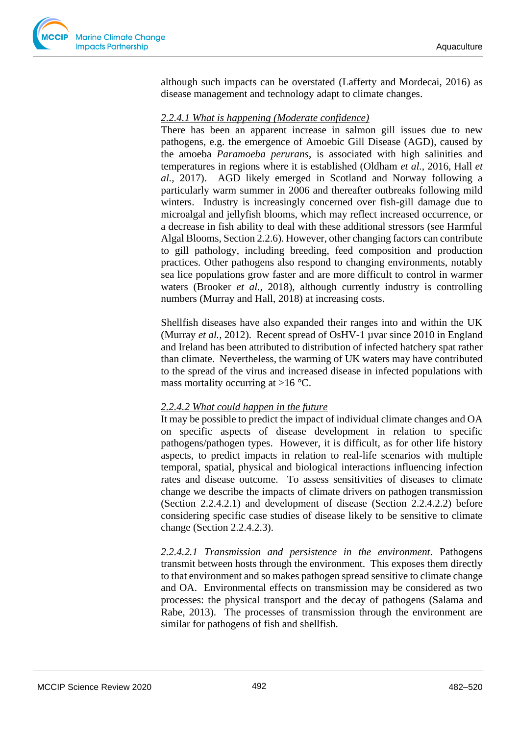

although such impacts can be overstated (Lafferty and Mordecai, 2016) as disease management and technology adapt to climate changes.

#### *2.2.4.1 What is happening (Moderate confidence)*

There has been an apparent increase in salmon gill issues due to new pathogens, e.g. the emergence of Amoebic Gill Disease (AGD), caused by the amoeba *Paramoeba perurans*, is associated with high salinities and temperatures in regions where it is established (Oldham *et al.*, 2016, Hall *et al.,* 2017). AGD likely emerged in Scotland and Norway following a particularly warm summer in 2006 and thereafter outbreaks following mild winters. Industry is increasingly concerned over fish-gill damage due to microalgal and jellyfish blooms, which may reflect increased occurrence, or a decrease in fish ability to deal with these additional stressors (see Harmful Algal Blooms, Section 2.2.6). However, other changing factors can contribute to gill pathology, including breeding, feed composition and production practices. Other pathogens also respond to changing environments, notably sea lice populations grow faster and are more difficult to control in warmer waters (Brooker *et al.,* 2018), although currently industry is controlling numbers (Murray and Hall, 2018) at increasing costs.

Shellfish diseases have also expanded their ranges into and within the UK (Murray *et al.,* 2012). Recent spread of OsHV-1 µvar since 2010 in England and Ireland has been attributed to distribution of infected hatchery spat rather than climate. Nevertheless, the warming of UK waters may have contributed to the spread of the virus and increased disease in infected populations with mass mortality occurring at  $>16$  °C.

## *2.2.4.2 What could happen in the future*

It may be possible to predict the impact of individual climate changes and OA on specific aspects of disease development in relation to specific pathogens/pathogen types. However, it is difficult, as for other life history aspects, to predict impacts in relation to real-life scenarios with multiple temporal, spatial, physical and biological interactions influencing infection rates and disease outcome. To assess sensitivities of diseases to climate change we describe the impacts of climate drivers on pathogen transmission (Section 2.2.4.2.1) and development of disease (Section 2.2.4.2.2) before considering specific case studies of disease likely to be sensitive to climate change (Section 2.2.4.2.3).

*2.2.4.2.1 Transmission and persistence in the environment.* Pathogens transmit between hosts through the environment. This exposes them directly to that environment and so makes pathogen spread sensitive to climate change and OA. Environmental effects on transmission may be considered as two processes: the physical transport and the decay of pathogens (Salama and Rabe, 2013). The processes of transmission through the environment are similar for pathogens of fish and shellfish.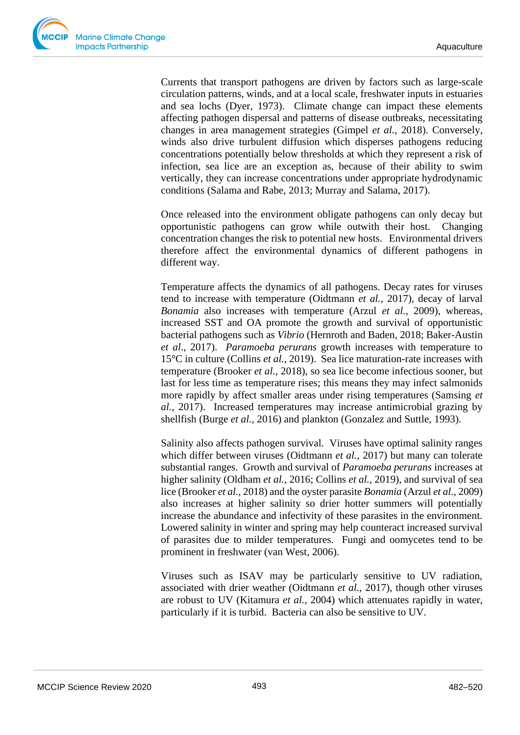

Currents that transport pathogens are driven by factors such as large-scale circulation patterns, winds, and at a local scale, freshwater inputs in estuaries and sea lochs (Dyer, 1973). Climate change can impact these elements affecting pathogen dispersal and patterns of disease outbreaks, necessitating changes in area management strategies (Gimpel *et al.,* 2018). Conversely, winds also drive turbulent diffusion which disperses pathogens reducing concentrations potentially below thresholds at which they represent a risk of infection, sea lice are an exception as, because of their ability to swim vertically, they can increase concentrations under appropriate hydrodynamic conditions (Salama and Rabe, 2013; Murray and Salama, 2017).

Once released into the environment obligate pathogens can only decay but opportunistic pathogens can grow while outwith their host. Changing concentration changes the risk to potential new hosts. Environmental drivers therefore affect the environmental dynamics of different pathogens in different way.

Temperature affects the dynamics of all pathogens. Decay rates for viruses tend to increase with temperature (Oidtmann *et al.,* 2017), decay of larval *Bonamia* also increases with temperature (Arzul *et al.,* 2009), whereas, increased SST and OA promote the growth and survival of opportunistic bacterial pathogens such as *Vibrio* (Hernroth and Baden, 2018; Baker-Austin *et al*., 2017). *Paramoeba perurans* growth increases with temperature to 15°C in culture (Collins *et al.,* 2019). Sea lice maturation-rate increases with temperature (Brooker *et al.,* 2018), so sea lice become infectious sooner, but last for less time as temperature rises; this means they may infect salmonids more rapidly by affect smaller areas under rising temperatures (Samsing *et al.,* 2017). Increased temperatures may increase antimicrobial grazing by shellfish (Burge *et al.,* 2016) and plankton (Gonzalez and Suttle, 1993).

Salinity also affects pathogen survival. Viruses have optimal salinity ranges which differ between viruses (Oidtmann *et al.,* 2017) but many can tolerate substantial ranges. Growth and survival of *Paramoeba perurans* increases at higher salinity (Oldham *et al.,* 2016; Collins *et al.,* 2019), and survival of sea lice (Brooker *et al.,* 2018) and the oyster parasite *Bonamia* (Arzul *et al.,* 2009) also increases at higher salinity so drier hotter summers will potentially increase the abundance and infectivity of these parasites in the environment. Lowered salinity in winter and spring may help counteract increased survival of parasites due to milder temperatures. Fungi and oomycetes tend to be prominent in freshwater (van West, 2006).

Viruses such as ISAV may be particularly sensitive to UV radiation, associated with drier weather (Oidtmann *et al.,* 2017), though other viruses are robust to UV (Kitamura *et al.,* 2004) which attenuates rapidly in water, particularly if it is turbid. Bacteria can also be sensitive to UV.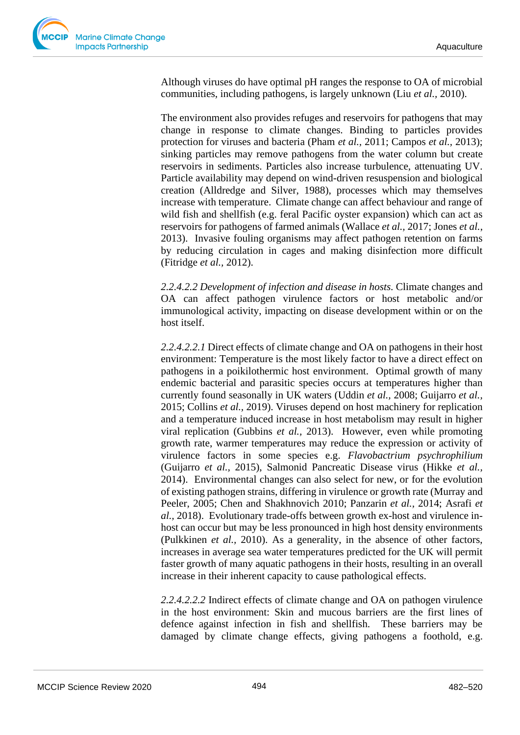

Although viruses do have optimal pH ranges the response to OA of microbial communities, including pathogens, is largely unknown (Liu *et al.,* 2010).

The environment also provides refuges and reservoirs for pathogens that may change in response to climate changes. Binding to particles provides protection for viruses and bacteria (Pham *et al.,* 2011; Campos *et al.,* 2013); sinking particles may remove pathogens from the water column but create reservoirs in sediments. Particles also increase turbulence, attenuating UV. Particle availability may depend on wind-driven resuspension and biological creation (Alldredge and Silver, 1988), processes which may themselves increase with temperature. Climate change can affect behaviour and range of wild fish and shellfish (e.g. feral Pacific oyster expansion) which can act as reservoirs for pathogens of farmed animals (Wallace *et al.,* 2017; Jones *et al.*, 2013). Invasive fouling organisms may affect pathogen retention on farms by reducing circulation in cages and making disinfection more difficult (Fitridge *et al.,* 2012).

*2.2.4.2.2 Development of infection and disease in hosts.* Climate changes and OA can affect pathogen virulence factors or host metabolic and/or immunological activity, impacting on disease development within or on the host itself.

*2.2.4.2.2.1* Direct effects of climate change and OA on pathogens in their host environment: Temperature is the most likely factor to have a direct effect on pathogens in a poikilothermic host environment. Optimal growth of many endemic bacterial and parasitic species occurs at temperatures higher than currently found seasonally in UK waters (Uddin *et al.,* 2008; Guijarro *et al.,*  2015; Collins *et al.,* 2019). Viruses depend on host machinery for replication and a temperature induced increase in host metabolism may result in higher viral replication (Gubbins *et al.,* 2013). However, even while promoting growth rate, warmer temperatures may reduce the expression or activity of virulence factors in some species e.g. *Flavobactrium psychrophilium* (Guijarro *et al.,* 2015), Salmonid Pancreatic Disease virus (Hikke *et al.,*  2014). Environmental changes can also select for new, or for the evolution of existing pathogen strains, differing in virulence or growth rate (Murray and Peeler, 2005; Chen and Shakhnovich 2010; Panzarin *et al.,* 2014; Asrafi *et al.,* 2018). Evolutionary trade-offs between growth ex-host and virulence inhost can occur but may be less pronounced in high host density environments (Pulkkinen *et al.,* 2010). As a generality, in the absence of other factors, increases in average sea water temperatures predicted for the UK will permit faster growth of many aquatic pathogens in their hosts, resulting in an overall increase in their inherent capacity to cause pathological effects.

*2.2.4.2.2.2* Indirect effects of climate change and OA on pathogen virulence in the host environment: Skin and mucous barriers are the first lines of defence against infection in fish and shellfish. These barriers may be damaged by climate change effects, giving pathogens a foothold, e.g.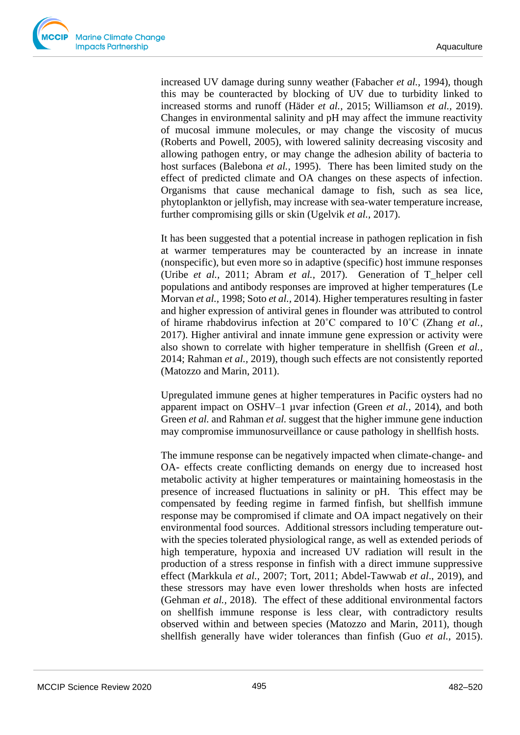

increased UV damage during sunny weather (Fabacher *et al.,* 1994), though this may be counteracted by blocking of UV due to turbidity linked to increased storms and runoff (Häder *et al.,* 2015; Williamson *et al.,* 2019). Changes in environmental salinity and pH may affect the immune reactivity of mucosal immune molecules, or may change the viscosity of mucus (Roberts and Powell, 2005), with lowered salinity decreasing viscosity and allowing pathogen entry, or may change the adhesion ability of bacteria to host surfaces (Balebona *et al.,* 1995). There has been limited study on the effect of predicted climate and OA changes on these aspects of infection. Organisms that cause mechanical damage to fish, such as sea lice, phytoplankton or jellyfish, may increase with sea-water temperature increase, further compromising gills or skin (Ugelvik *et al.,* 2017).

It has been suggested that a potential increase in pathogen replication in fish at warmer temperatures may be counteracted by an increase in innate (nonspecific), but even more so in adaptive (specific) host immune responses (Uribe *et al.,* 2011; Abram *et al.,* 2017). Generation of T\_helper cell populations and antibody responses are improved at higher temperatures (Le Morvan *et al.,* 1998; Soto *et al.,* 2014). Higher temperatures resulting in faster and higher expression of antiviral genes in flounder was attributed to control of hirame rhabdovirus infection at 20˚C compared to 10˚C (Zhang *et al.,*  2017). Higher antiviral and innate immune gene expression or activity were also shown to correlate with higher temperature in shellfish (Green *et al.,*  2014; Rahman *et al.,* 2019), though such effects are not consistently reported (Matozzo and Marin, 2011).

Upregulated immune genes at higher temperatures in Pacific oysters had no apparent impact on OSHV–1 µvar infection (Green *et al.,* 2014), and both Green *et al.* and Rahman *et al.* suggest that the higher immune gene induction may compromise immunosurveillance or cause pathology in shellfish hosts.

The immune response can be negatively impacted when climate-change- and OA- effects create conflicting demands on energy due to increased host metabolic activity at higher temperatures or maintaining homeostasis in the presence of increased fluctuations in salinity or pH. This effect may be compensated by feeding regime in farmed finfish, but shellfish immune response may be compromised if climate and OA impact negatively on their environmental food sources. Additional stressors including temperature outwith the species tolerated physiological range, as well as extended periods of high temperature, hypoxia and increased UV radiation will result in the production of a stress response in finfish with a direct immune suppressive effect (Markkula *et al.,* 2007; Tort, 2011; Abdel-Tawwab *et al*., 2019), and these stressors may have even lower thresholds when hosts are infected (Gehman *et al.,* 2018). The effect of these additional environmental factors on shellfish immune response is less clear, with contradictory results observed within and between species (Matozzo and Marin, 2011), though shellfish generally have wider tolerances than finfish (Guo *et al.,* 2015).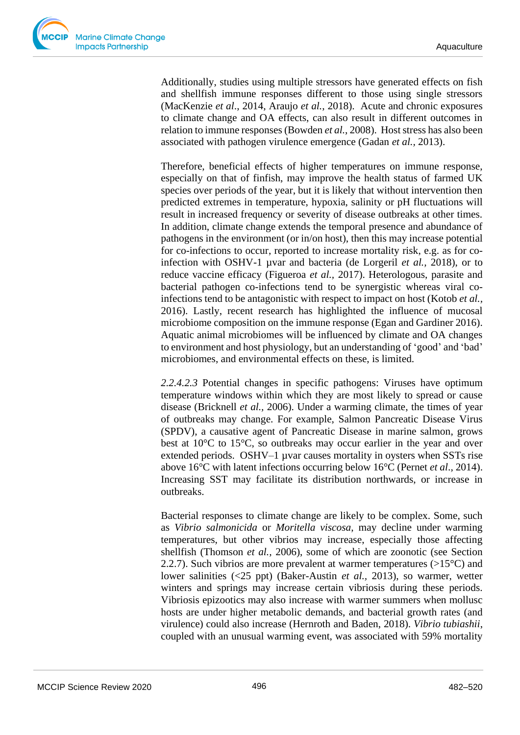Additionally, studies using multiple stressors have generated effects on fish and shellfish immune responses different to those using single stressors (MacKenzie *et al*., 2014, Araujo *et al.*, 2018). Acute and chronic exposures to climate change and OA effects, can also result in different outcomes in relation to immune responses (Bowden *et al.*, 2008). Host stress has also been associated with pathogen virulence emergence (Gadan *et al.,* 2013).

Therefore, beneficial effects of higher temperatures on immune response, especially on that of finfish, may improve the health status of farmed UK species over periods of the year, but it is likely that without intervention then predicted extremes in temperature, hypoxia, salinity or pH fluctuations will result in increased frequency or severity of disease outbreaks at other times. In addition, climate change extends the temporal presence and abundance of pathogens in the environment (or in/on host), then this may increase potential for co-infections to occur, reported to increase mortality risk, e.g. as for coinfection with OSHV-1 µvar and bacteria (de Lorgeril *et al.,* 2018), or to reduce vaccine efficacy (Figueroa *et al.,* 2017). Heterologous, parasite and bacterial pathogen co-infections tend to be synergistic whereas viral coinfections tend to be antagonistic with respect to impact on host (Kotob *et al.,*  2016). Lastly, recent research has highlighted the influence of mucosal microbiome composition on the immune response (Egan and Gardiner 2016). Aquatic animal microbiomes will be influenced by climate and OA changes to environment and host physiology, but an understanding of 'good' and 'bad' microbiomes, and environmental effects on these, is limited.

*2.2.4.2.3* Potential changes in specific pathogens: Viruses have optimum temperature windows within which they are most likely to spread or cause disease (Bricknell *et al.,* 2006). Under a warming climate, the times of year of outbreaks may change. For example, Salmon Pancreatic Disease Virus (SPDV), a causative agent of Pancreatic Disease in marine salmon, grows best at 10°C to 15°C, so outbreaks may occur earlier in the year and over extended periods. OSHV–1 µvar causes mortality in oysters when SSTs rise above 16°C with latent infections occurring below 16°C (Pernet *et al*., 2014). Increasing SST may facilitate its distribution northwards, or increase in outbreaks.

Bacterial responses to climate change are likely to be complex. Some, such as *Vibrio salmonicida* or *Moritella viscosa*, may decline under warming temperatures, but other vibrios may increase, especially those affecting shellfish (Thomson *et al.,* 2006), some of which are zoonotic (see Section 2.2.7). Such vibrios are more prevalent at warmer temperatures ( $>15^{\circ}$ C) and lower salinities (<25 ppt) (Baker-Austin *et al.,* 2013), so warmer, wetter winters and springs may increase certain vibriosis during these periods. Vibriosis epizootics may also increase with warmer summers when mollusc hosts are under higher metabolic demands, and bacterial growth rates (and virulence) could also increase (Hernroth and Baden, 2018). *Vibrio tubiashii*, coupled with an unusual warming event, was associated with 59% mortality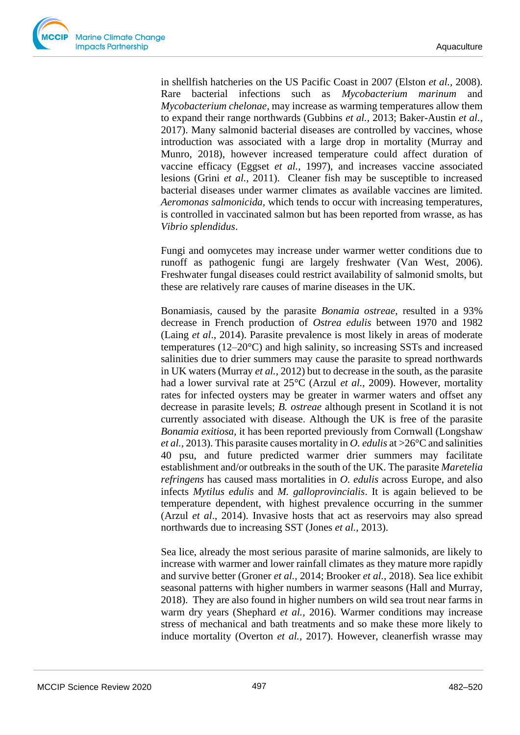

in shellfish hatcheries on the US Pacific Coast in 2007 (Elston *et al.,* 2008). Rare bacterial infections such as *Mycobacterium marinum* and *Mycobacterium chelonae*, may increase as warming temperatures allow them to expand their range northwards (Gubbins *et al.,* 2013; Baker-Austin *et al.,*  2017). Many salmonid bacterial diseases are controlled by vaccines, whose introduction was associated with a large drop in mortality (Murray and Munro, 2018), however increased temperature could affect duration of vaccine efficacy (Eggset *et al.,* 1997), and increases vaccine associated lesions (Grini *et al.,* 2011). Cleaner fish may be susceptible to increased bacterial diseases under warmer climates as available vaccines are limited. *Aeromonas salmonicida,* which tends to occur with increasing temperatures, is controlled in vaccinated salmon but has been reported from wrasse, as has *Vibrio splendidus*.

Fungi and oomycetes may increase under warmer wetter conditions due to runoff as pathogenic fungi are largely freshwater (Van West, 2006). Freshwater fungal diseases could restrict availability of salmonid smolts, but these are relatively rare causes of marine diseases in the UK.

Bonamiasis, caused by the parasite *Bonamia ostreae*, resulted in a 93% decrease in French production of *Ostrea edulis* between 1970 and 1982 (Laing *et al*., 2014). Parasite prevalence is most likely in areas of moderate temperatures ( $12-20^{\circ}$ C) and high salinity, so increasing SSTs and increased salinities due to drier summers may cause the parasite to spread northwards in UK waters (Murray *et al.,* 2012) but to decrease in the south, as the parasite had a lower survival rate at 25°C (Arzul *et al.,* 2009). However, mortality rates for infected oysters may be greater in warmer waters and offset any decrease in parasite levels; *B. ostreae* although present in Scotland it is not currently associated with disease. Although the UK is free of the parasite *Bonamia exitiosa*, it has been reported previously from Cornwall (Longshaw *et al.,* 2013). This parasite causes mortality in *O. edulis* at >26°C and salinities 40 psu, and future predicted warmer drier summers may facilitate establishment and/or outbreaks in the south of the UK. The parasite *Maretelia refringens* has caused mass mortalities in *O. edulis* across Europe, and also infects *Mytilus edulis* and *M. galloprovincialis*. It is again believed to be temperature dependent, with highest prevalence occurring in the summer (Arzul *et al*., 2014). Invasive hosts that act as reservoirs may also spread northwards due to increasing SST (Jones *et al.,* 2013).

Sea lice, already the most serious parasite of marine salmonids, are likely to increase with warmer and lower rainfall climates as they mature more rapidly and survive better (Groner *et al.,* 2014; Brooker *et al.,* 2018). Sea lice exhibit seasonal patterns with higher numbers in warmer seasons (Hall and Murray, 2018). They are also found in higher numbers on wild sea trout near farms in warm dry years (Shephard *et al.,* 2016). Warmer conditions may increase stress of mechanical and bath treatments and so make these more likely to induce mortality (Overton *et al.,* 2017). However, cleanerfish wrasse may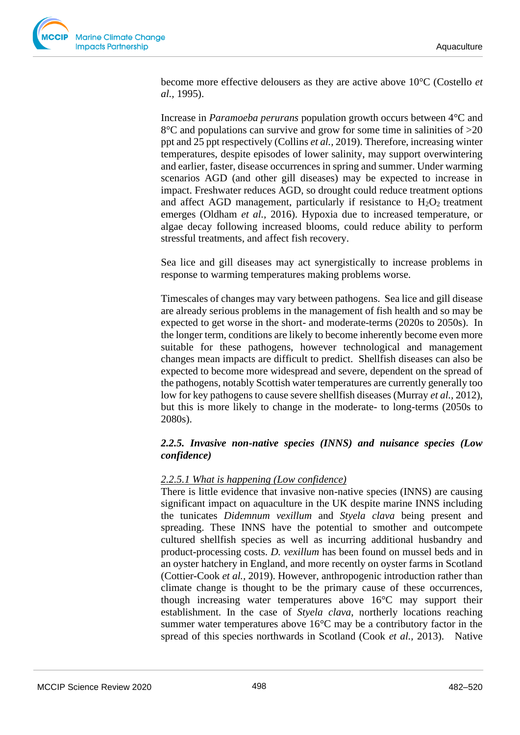become more effective delousers as they are active above 10°C (Costello *et al.,* 1995).

Increase in *Paramoeba perurans* population growth occurs between 4°C and 8°C and populations can survive and grow for some time in salinities of >20 ppt and 25 ppt respectively (Collins *et al.,* 2019). Therefore, increasing winter temperatures, despite episodes of lower salinity, may support overwintering and earlier, faster, disease occurrences in spring and summer. Under warming scenarios AGD (and other gill diseases) may be expected to increase in impact. Freshwater reduces AGD, so drought could reduce treatment options and affect AGD management, particularly if resistance to  $H_2O_2$  treatment emerges (Oldham *et al.,* 2016). Hypoxia due to increased temperature, or algae decay following increased blooms, could reduce ability to perform stressful treatments, and affect fish recovery.

Sea lice and gill diseases may act synergistically to increase problems in response to warming temperatures making problems worse.

Timescales of changes may vary between pathogens. Sea lice and gill disease are already serious problems in the management of fish health and so may be expected to get worse in the short- and moderate-terms (2020s to 2050s). In the longer term, conditions are likely to become inherently become even more suitable for these pathogens, however technological and management changes mean impacts are difficult to predict. Shellfish diseases can also be expected to become more widespread and severe, dependent on the spread of the pathogens, notably Scottish water temperatures are currently generally too low for key pathogens to cause severe shellfish diseases (Murray *et al.,* 2012), but this is more likely to change in the moderate- to long-terms (2050s to 2080s).

## *2.2.5. Invasive non-native species (INNS) and nuisance species (Low confidence)*

## *2.2.5.1 What is happening (Low confidence)*

There is little evidence that invasive non-native species (INNS) are causing significant impact on aquaculture in the UK despite marine INNS including the tunicates *Didemnum vexillum* and *Styela clava* being present and spreading. These INNS have the potential to smother and outcompete cultured shellfish species as well as incurring additional husbandry and product-processing costs. *D. vexillum* has been found on mussel beds and in an oyster hatchery in England, and more recently on oyster farms in Scotland (Cottier-Cook *et al.,* 2019). However, anthropogenic introduction rather than climate change is thought to be the primary cause of these occurrences, though increasing water temperatures above 16°C may support their establishment. In the case of *Styela clava*, northerly locations reaching summer water temperatures above 16°C may be a contributory factor in the spread of this species northwards in Scotland (Cook *et al.,* 2013). Native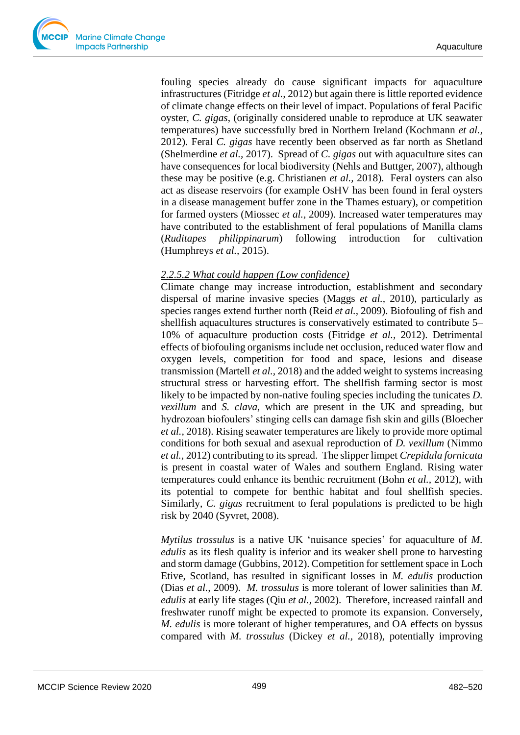fouling species already do cause significant impacts for aquaculture infrastructures (Fitridge *et al.,* 2012) but again there is little reported evidence of climate change effects on their level of impact. Populations of feral Pacific oyster, *C. gigas*, (originally considered unable to reproduce at UK seawater temperatures) have successfully bred in Northern Ireland (Kochmann *et al.,*  2012). Feral *C. gigas* have recently been observed as far north as Shetland (Shelmerdine *et al.,* 2017). Spread of *C. gigas* out with aquaculture sites can have consequences for local biodiversity (Nehls and Buttger, 2007), although these may be positive (e.g. Christianen *et al.,* 2018). Feral oysters can also act as disease reservoirs (for example OsHV has been found in feral oysters in a disease management buffer zone in the Thames estuary), or competition for farmed oysters (Miossec *et al.,* 2009). Increased water temperatures may have contributed to the establishment of feral populations of Manilla clams (*Ruditapes philippinarum*) following introduction for cultivation (Humphreys *et al.,* 2015).

## *2.2.5.2 What could happen (Low confidence)*

Climate change may increase introduction, establishment and secondary dispersal of marine invasive species (Maggs *et al.,* 2010), particularly as species ranges extend further north (Reid *et al.,* 2009). Biofouling of fish and shellfish aquacultures structures is conservatively estimated to contribute 5– 10% of aquaculture production costs (Fitridge *et al.,* 2012). Detrimental effects of biofouling organisms include net occlusion, reduced water flow and oxygen levels, competition for food and space, lesions and disease transmission (Martell *et al.,* 2018) and the added weight to systems increasing structural stress or harvesting effort. The shellfish farming sector is most likely to be impacted by non-native fouling species including the tunicates *D. vexillum* and *S. clava*, which are present in the UK and spreading, but hydrozoan biofoulers' stinging cells can damage fish skin and gills (Bloecher *et al.,* 2018). Rising seawater temperatures are likely to provide more optimal conditions for both sexual and asexual reproduction of *D. vexillum* (Nimmo *et al.,* 2012) contributing to its spread. The slipper limpet *Crepidula fornicata* is present in coastal water of Wales and southern England. Rising water temperatures could enhance its benthic recruitment (Bohn *et al.,* 2012), with its potential to compete for benthic habitat and foul shellfish species. Similarly, *C. gigas* recruitment to feral populations is predicted to be high risk by 2040 (Syvret, 2008).

*Mytilus trossulus* is a native UK 'nuisance species' for aquaculture of *M. edulis* as its flesh quality is inferior and its weaker shell prone to harvesting and storm damage (Gubbins, 2012). Competition for settlement space in Loch Etive, Scotland, has resulted in significant losses in *M. edulis* production (Dias *et al.,* 2009). *M. trossulus* is more tolerant of lower salinities than *M. edulis* at early life stages (Qiu *et al.,* 2002). Therefore, increased rainfall and freshwater runoff might be expected to promote its expansion. Conversely, *M. edulis* is more tolerant of higher temperatures, and OA effects on byssus compared with *M. trossulus* (Dickey *et al.,* 2018), potentially improving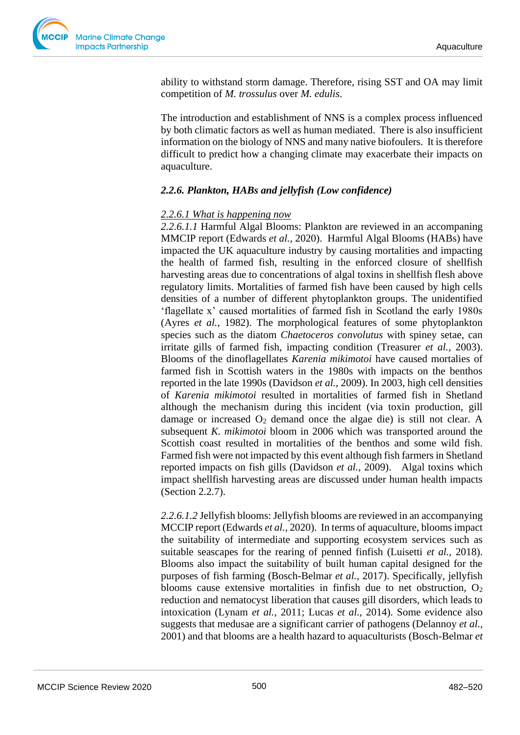

ability to withstand storm damage. Therefore, rising SST and OA may limit competition of *M. trossulus* over *M. edulis*.

The introduction and establishment of NNS is a complex process influenced by both climatic factors as well as human mediated. There is also insufficient information on the biology of NNS and many native biofoulers. It is therefore difficult to predict how a changing climate may exacerbate their impacts on aquaculture.

#### *2.2.6. Plankton, HABs and jellyfish (Low confidence)*

#### *2.2.6.1 What is happening now*

*2.2.6.1.1* Harmful Algal Blooms: Plankton are reviewed in an accompaning MMCIP report (Edwards *et al.,* 2020). Harmful Algal Blooms (HABs) have impacted the UK aquaculture industry by causing mortalities and impacting the health of farmed fish, resulting in the enforced closure of shellfish harvesting areas due to concentrations of algal toxins in shellfish flesh above regulatory limits. Mortalities of farmed fish have been caused by high cells densities of a number of different phytoplankton groups. The unidentified 'flagellate x' caused mortalities of farmed fish in Scotland the early 1980s (Ayres *et al.*, 1982). The morphological features of some phytoplankton species such as the diatom *Chaetoceros convolutus* with spiney setae, can irritate gills of farmed fish, impacting condition (Treasurer *et al.*, 2003). Blooms of the dinoflagellates *Karenia mikimotoi* have caused mortalies of farmed fish in Scottish waters in the 1980s with impacts on the benthos reported in the late 1990s (Davidson *et al.*, 2009). In 2003, high cell densities of *Karenia mikimotoi* resulted in mortalities of farmed fish in Shetland although the mechanism during this incident (via toxin production, gill damage or increased  $O_2$  demand once the algae die) is still not clear. A subsequent *K. mikimotoi* bloom in 2006 which was transported around the Scottish coast resulted in mortalities of the benthos and some wild fish. Farmed fish were not impacted by this event although fish farmers in Shetland reported impacts on fish gills (Davidson *et al.*, 2009). Algal toxins which impact shellfish harvesting areas are discussed under human health impacts (Section 2.2.7).

*2.2.6.1.2* Jellyfish blooms: Jellyfish blooms are reviewed in an accompanying MCCIP report (Edwards *et al.,* 2020). In terms of aquaculture, blooms impact the suitability of intermediate and supporting ecosystem services such as suitable seascapes for the rearing of penned finfish (Luisetti *et al.,* 2018). Blooms also impact the suitability of built human capital designed for the purposes of fish farming (Bosch-Belmar *et al.,* 2017). Specifically, jellyfish blooms cause extensive mortalities in finfish due to net obstruction,  $O<sub>2</sub>$ reduction and nematocyst liberation that causes gill disorders, which leads to intoxication (Lynam *et al.,* 2011; Lucas *et al.,* 2014). Some evidence also suggests that medusae are a significant carrier of pathogens (Delannoy *et al.,*  2001) and that blooms are a health hazard to aquaculturists (Bosch-Belmar *et*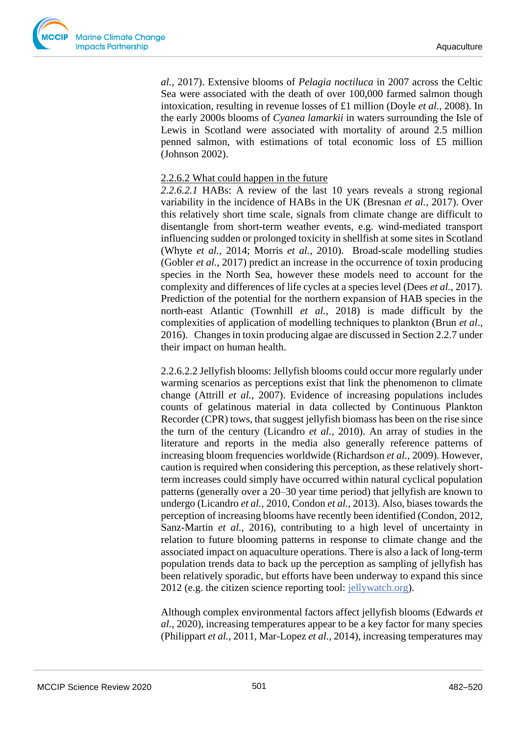*al.,* 2017). Extensive blooms of *Pelagia noctiluca* in 2007 across the Celtic Sea were associated with the death of over 100,000 farmed salmon though intoxication, resulting in revenue losses of £1 million (Doyle *et al.,* 2008). In the early 2000s blooms of *Cyanea lamarkii* in waters surrounding the Isle of Lewis in Scotland were associated with mortality of around 2.5 million penned salmon, with estimations of total economic loss of  $£5$  million (Johnson 2002).

## 2.2.6.2 What could happen in the future

*2.2.6.2.1* HABs: A review of the last 10 years reveals a strong regional variability in the incidence of HABs in the UK (Bresnan *et al.*, 2017). Over this relatively short time scale, signals from climate change are difficult to disentangle from short-term weather events, e.g. wind-mediated transport influencing sudden or prolonged toxicity in shellfish at some sites in Scotland (Whyte *et al.*, 2014; Morris *et al.*, 2010). Broad-scale modelling studies (Gobler *et al.*, 2017) predict an increase in the occurrence of toxin producing species in the North Sea, however these models need to account for the complexity and differences of life cycles at a species level (Dees *et al.*, 2017). Prediction of the potential for the northern expansion of HAB species in the north-east Atlantic (Townhill *et al.*, 2018) is made difficult by the complexities of application of modelling techniques to plankton (Brun *et al*., 2016). Changes in toxin producing algae are discussed in Section 2.2.7 under their impact on human health.

2.2.6.2.2 Jellyfish blooms: Jellyfish blooms could occur more regularly under warming scenarios as perceptions exist that link the phenomenon to climate change (Attrill *et al.,* 2007). Evidence of increasing populations includes counts of gelatinous material in data collected by Continuous Plankton Recorder (CPR) tows, that suggest jellyfish biomass has been on the rise since the turn of the century (Licandro *et al.,* 2010). An array of studies in the literature and reports in the media also generally reference patterns of increasing bloom frequencies worldwide (Richardson *et al.,* 2009). However, caution is required when considering this perception, as these relatively shortterm increases could simply have occurred within natural cyclical population patterns (generally over a 20–30 year time period) that jellyfish are known to undergo (Licandro *et al.,* 2010, Condon *et al.,* 2013). Also, biases towards the perception of increasing blooms have recently been identified (Condon, 2012, Sanz-Martin *et al.,* 2016), contributing to a high level of uncertainty in relation to future blooming patterns in response to climate change and the associated impact on aquaculture operations. There is also a lack of long-term population trends data to back up the perception as sampling of jellyfish has been relatively sporadic, but efforts have been underway to expand this since 2012 (e.g. the citizen science reporting tool: [jellywatch.org\)](http://www.jellywatch.org/).

Although complex environmental factors affect jellyfish blooms (Edwards *et al.,* 2020), increasing temperatures appear to be a key factor for many species (Philippart *et al.,* 2011, Mar-Lopez *et al.,* 2014), increasing temperatures may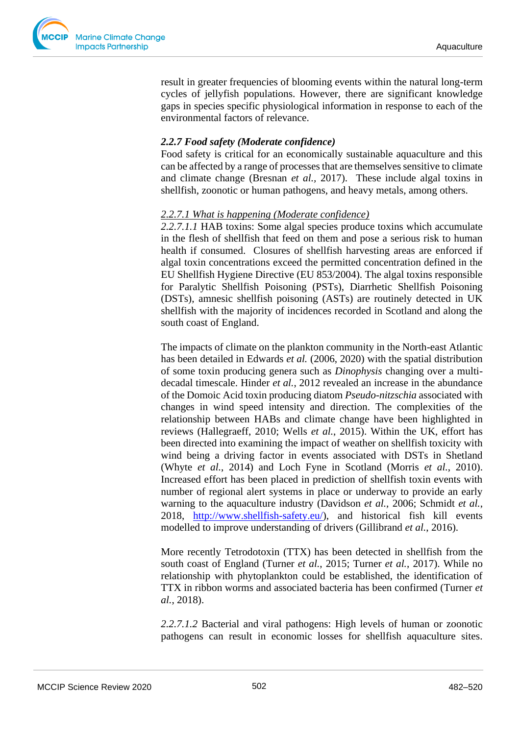

result in greater frequencies of blooming events within the natural long-term cycles of jellyfish populations. However, there are significant knowledge gaps in species specific physiological information in response to each of the environmental factors of relevance.

## *2.2.7 Food safety (Moderate confidence)*

Food safety is critical for an economically sustainable aquaculture and this can be affected by a range of processes that are themselves sensitive to climate and climate change (Bresnan *et al.,* 2017). These include algal toxins in shellfish, zoonotic or human pathogens, and heavy metals, among others.

# *2.2.7.1 What is happening (Moderate confidence)*

*2.2.7.1.1* HAB toxins: Some algal species produce toxins which accumulate in the flesh of shellfish that feed on them and pose a serious risk to human health if consumed. Closures of shellfish harvesting areas are enforced if algal toxin concentrations exceed the permitted concentration defined in the EU Shellfish Hygiene Directive (EU 853/2004). The algal toxins responsible for Paralytic Shellfish Poisoning (PSTs), Diarrhetic Shellfish Poisoning (DSTs), amnesic shellfish poisoning (ASTs) are routinely detected in UK shellfish with the majority of incidences recorded in Scotland and along the south coast of England.

The impacts of climate on the plankton community in the North-east Atlantic has been detailed in Edwards *et al.* (2006, 2020) with the spatial distribution of some toxin producing genera such as *Dinophysis* changing over a multidecadal timescale. Hinder *et al.*, 2012 revealed an increase in the abundance of the Domoic Acid toxin producing diatom *Pseudo-nitzschia* associated with changes in wind speed intensity and direction. The complexities of the relationship between HABs and climate change have been highlighted in reviews (Hallegraeff, 2010; Wells *et al.*, 2015). Within the UK, effort has been directed into examining the impact of weather on shellfish toxicity with wind being a driving factor in events associated with DSTs in Shetland (Whyte *et al.*, 2014) and Loch Fyne in Scotland (Morris *et al.*, 2010). Increased effort has been placed in prediction of shellfish toxin events with number of regional alert systems in place or underway to provide an early warning to the aquaculture industry (Davidson *et al.,* 2006; Schmidt *et al.*, 2018, [http://www.shellfish-safety.eu/\)](http://www.shellfish-safety.eu/), and historical fish kill events modelled to improve understanding of drivers (Gillibrand *et al.*, 2016).

More recently Tetrodotoxin (TTX) has been detected in shellfish from the south coast of England (Turner *et al.*, 2015; Turner *et al.*, 2017). While no relationship with phytoplankton could be established, the identification of TTX in ribbon worms and associated bacteria has been confirmed (Turner *et al.*, 2018).

*2.2.7.1.2* Bacterial and viral pathogens: High levels of human or zoonotic pathogens can result in economic losses for shellfish aquaculture sites.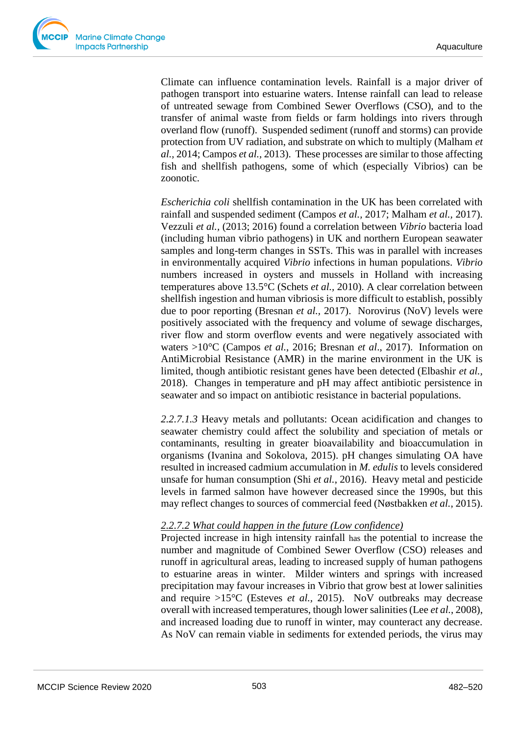Climate can influence contamination levels. Rainfall is a major driver of pathogen transport into estuarine waters. Intense rainfall can lead to release of untreated sewage from Combined Sewer Overflows (CSO), and to the transfer of animal waste from fields or farm holdings into rivers through overland flow (runoff). Suspended sediment (runoff and storms) can provide protection from UV radiation, and substrate on which to multiply (Malham *et al.,* 2014; Campos *et al.,* 2013). These processes are similar to those affecting fish and shellfish pathogens, some of which (especially Vibrios) can be zoonotic.

*Escherichia coli* shellfish contamination in the UK has been correlated with rainfall and suspended sediment (Campos *et al.,* 2017; Malham *et al.,* 2017). Vezzuli *et al.,* (2013; 2016) found a correlation between *Vibrio* bacteria load (including human vibrio pathogens) in UK and northern European seawater samples and long-term changes in SSTs. This was in parallel with increases in environmentally acquired *Vibrio* infections in human populations. *Vibrio* numbers increased in oysters and mussels in Holland with increasing temperatures above 13.5°C (Schets *et al.,* 2010). A clear correlation between shellfish ingestion and human vibriosis is more difficult to establish, possibly due to poor reporting (Bresnan *et al.,* 2017). Norovirus (NoV) levels were positively associated with the frequency and volume of sewage discharges, river flow and storm overflow events and were negatively associated with waters >10°C (Campos *et al.*, 2016; Bresnan *et al*., 2017). Information on AntiMicrobial Resistance (AMR) in the marine environment in the UK is limited, though antibiotic resistant genes have been detected (Elbashir *et al.,*  2018). Changes in temperature and pH may affect antibiotic persistence in seawater and so impact on antibiotic resistance in bacterial populations.

*2.2.7.1.3* Heavy metals and pollutants: Ocean acidification and changes to seawater chemistry could affect the solubility and speciation of metals or contaminants, resulting in greater bioavailability and bioaccumulation in organisms (Ivanina and Sokolova, 2015). pH changes simulating OA have resulted in increased cadmium accumulation in *M. edulis* to levels considered unsafe for human consumption (Shi *et al.*, 2016). Heavy metal and pesticide levels in farmed salmon have however decreased since the 1990s, but this may reflect changes to sources of commercial feed (Nøstbakken *et al.*, 2015).

## *2.2.7.2 What could happen in the future (Low confidence)*

Projected increase in high intensity rainfall has the potential to increase the number and magnitude of Combined Sewer Overflow (CSO) releases and runoff in agricultural areas, leading to increased supply of human pathogens to estuarine areas in winter. Milder winters and springs with increased precipitation may favour increases in Vibrio that grow best at lower salinities and require >15°C (Esteves *et al.,* 2015). NoV outbreaks may decrease overall with increased temperatures, though lower salinities (Lee *et al.*, 2008), and increased loading due to runoff in winter, may counteract any decrease. As NoV can remain viable in sediments for extended periods, the virus may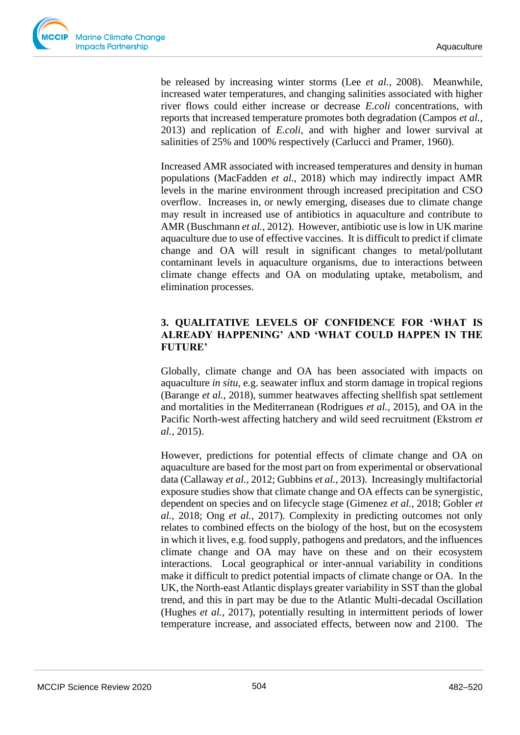be released by increasing winter storms (Lee *et al.*, 2008). Meanwhile, increased water temperatures, and changing salinities associated with higher river flows could either increase or decrease *E.coli* concentrations, with reports that increased temperature promotes both degradation (Campos *et al.,*  2013) and replication of *E.coli*, and with higher and lower survival at salinities of 25% and 100% respectively (Carlucci and Pramer, 1960).

Increased AMR associated with increased temperatures and density in human populations (MacFadden *et al.,* 2018) which may indirectly impact AMR levels in the marine environment through increased precipitation and CSO overflow. Increases in, or newly emerging, diseases due to climate change may result in increased use of antibiotics in aquaculture and contribute to AMR (Buschmann *et al.,* 2012). However, antibiotic use is low in UK marine aquaculture due to use of effective vaccines. It is difficult to predict if climate change and OA will result in significant changes to metal/pollutant contaminant levels in aquaculture organisms, due to interactions between climate change effects and OA on modulating uptake, metabolism, and elimination processes.

## **3. QUALITATIVE LEVELS OF CONFIDENCE FOR 'WHAT IS ALREADY HAPPENING' AND 'WHAT COULD HAPPEN IN THE FUTURE'**

Globally, climate change and OA has been associated with impacts on aquaculture *in situ,* e.g. seawater influx and storm damage in tropical regions (Barange *et al.*, 2018), summer heatwaves affecting shellfish spat settlement and mortalities in the Mediterranean (Rodrigues *et al.,* 2015), and OA in the Pacific North-west affecting hatchery and wild seed recruitment (Ekstrom *et al.*, 2015).

However, predictions for potential effects of climate change and OA on aquaculture are based for the most part on from experimental or observational data (Callaway *et al.,* 2012; Gubbins *et al.,* 2013). Increasingly multifactorial exposure studies show that climate change and OA effects can be synergistic, dependent on species and on lifecycle stage (Gimenez *et al.,* 2018; Gobler *et al.,* 2018; Ong *et al.,* 2017). Complexity in predicting outcomes not only relates to combined effects on the biology of the host, but on the ecosystem in which it lives, e.g. food supply, pathogens and predators, and the influences climate change and OA may have on these and on their ecosystem interactions. Local geographical or inter-annual variability in conditions make it difficult to predict potential impacts of climate change or OA. In the UK, the North-east Atlantic displays greater variability in SST than the global trend, and this in part may be due to the Atlantic Multi-decadal Oscillation (Hughes *et al.,* 2017), potentially resulting in intermittent periods of lower temperature increase, and associated effects, between now and 2100. The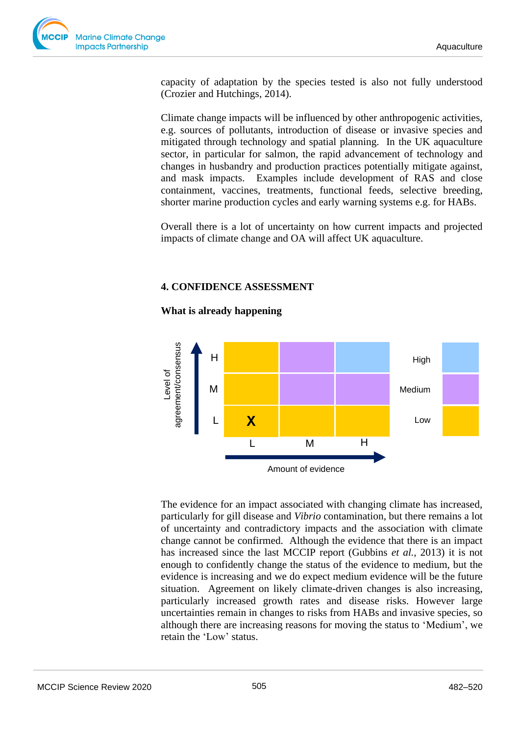

capacity of adaptation by the species tested is also not fully understood (Crozier and Hutchings, 2014).

Climate change impacts will be influenced by other anthropogenic activities, e.g. sources of pollutants, introduction of disease or invasive species and mitigated through technology and spatial planning. In the UK aquaculture sector, in particular for salmon, the rapid advancement of technology and changes in husbandry and production practices potentially mitigate against, and mask impacts. Examples include development of RAS and close containment, vaccines, treatments, functional feeds, selective breeding, shorter marine production cycles and early warning systems e.g. for HABs.

Overall there is a lot of uncertainty on how current impacts and projected impacts of climate change and OA will affect UK aquaculture.

## **4. CONFIDENCE ASSESSMENT**

## **What is already happening**



The evidence for an impact associated with changing climate has increased, particularly for gill disease and *Vibrio* contamination, but there remains a lot of uncertainty and contradictory impacts and the association with climate change cannot be confirmed. Although the evidence that there is an impact has increased since the last MCCIP report (Gubbins *et al.,* 2013) it is not enough to confidently change the status of the evidence to medium, but the evidence is increasing and we do expect medium evidence will be the future situation. Agreement on likely climate-driven changes is also increasing, particularly increased growth rates and disease risks. However large uncertainties remain in changes to risks from HABs and invasive species, so although there are increasing reasons for moving the status to 'Medium', we retain the 'Low' status.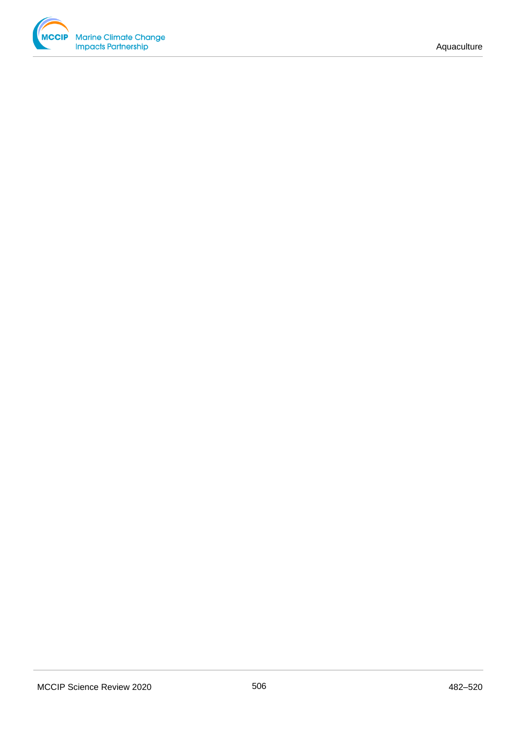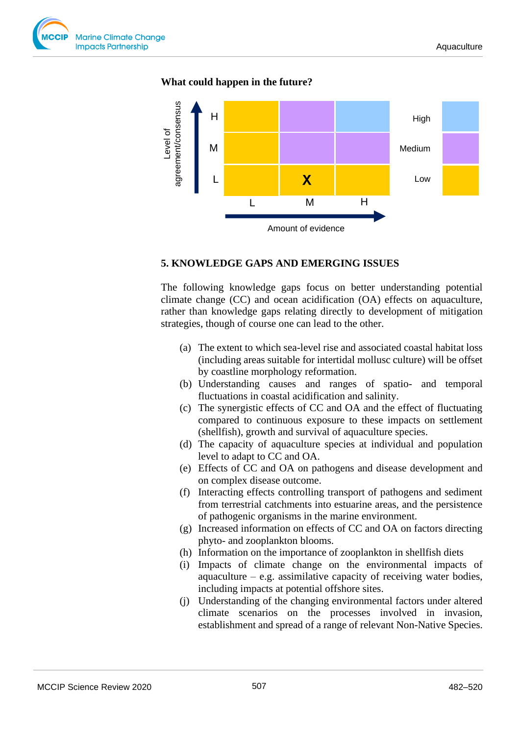

#### **What could happen in the future?**



## **5. KNOWLEDGE GAPS AND EMERGING ISSUES**

The following knowledge gaps focus on better understanding potential climate change (CC) and ocean acidification (OA) effects on aquaculture, rather than knowledge gaps relating directly to development of mitigation strategies, though of course one can lead to the other.

- (a) The extent to which sea-level rise and associated coastal habitat loss (including areas suitable for intertidal mollusc culture) will be offset by coastline morphology reformation.
- (b) Understanding causes and ranges of spatio- and temporal fluctuations in coastal acidification and salinity.
- (c) The synergistic effects of CC and OA and the effect of fluctuating compared to continuous exposure to these impacts on settlement (shellfish), growth and survival of aquaculture species.
- (d) The capacity of aquaculture species at individual and population level to adapt to CC and OA.
- (e) Effects of CC and OA on pathogens and disease development and on complex disease outcome.
- (f) Interacting effects controlling transport of pathogens and sediment from terrestrial catchments into estuarine areas, and the persistence of pathogenic organisms in the marine environment.
- (g) Increased information on effects of CC and OA on factors directing phyto- and zooplankton blooms.
- (h) Information on the importance of zooplankton in shellfish diets
- (i) Impacts of climate change on the environmental impacts of aquaculture – e.g. assimilative capacity of receiving water bodies, including impacts at potential offshore sites.
- (j) Understanding of the changing environmental factors under altered climate scenarios on the processes involved in invasion, establishment and spread of a range of relevant Non-Native Species.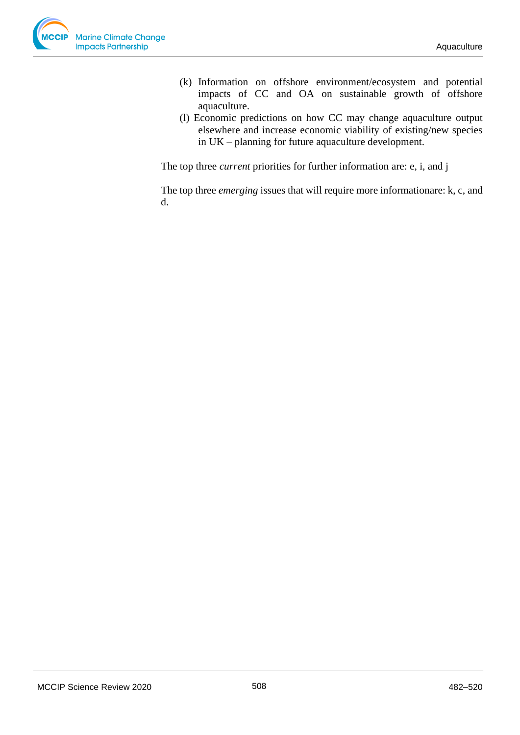

- (k) Information on offshore environment/ecosystem and potential impacts of CC and OA on sustainable growth of offshore aquaculture.
- (l) Economic predictions on how CC may change aquaculture output elsewhere and increase economic viability of existing/new species in UK – planning for future aquaculture development.

The top three *current* priorities for further information are: e, i, and j

The top three *emerging* issues that will require more informationare: k, c, and d.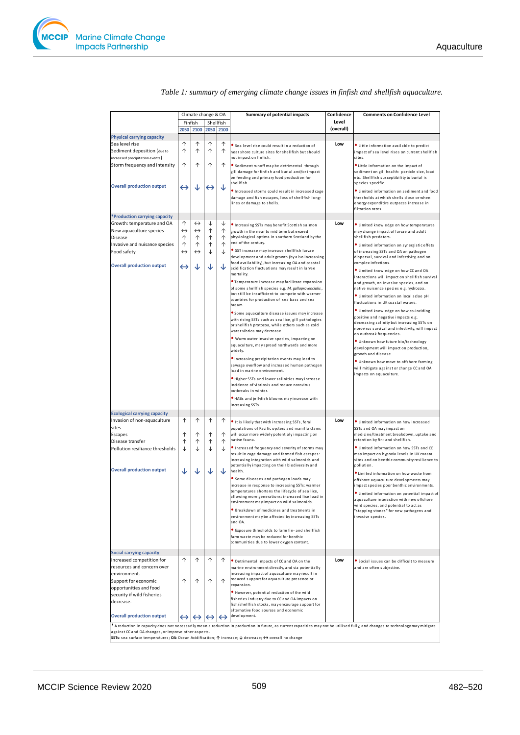

|                                                                                                                                                                                                                                          | Climate change & OA |                   |                   |        | <b>Summary of potential impacts</b>                                                                                                                          | Confidence | <b>Comments on Confidence Level</b>                                                                                                                      |
|------------------------------------------------------------------------------------------------------------------------------------------------------------------------------------------------------------------------------------------|---------------------|-------------------|-------------------|--------|--------------------------------------------------------------------------------------------------------------------------------------------------------------|------------|----------------------------------------------------------------------------------------------------------------------------------------------------------|
|                                                                                                                                                                                                                                          | Finfish             |                   | Shellfish         |        |                                                                                                                                                              | Level      |                                                                                                                                                          |
|                                                                                                                                                                                                                                          | 2050                | 2100              | 2050              | 2100   |                                                                                                                                                              | (overall)  |                                                                                                                                                          |
| <b>Physical carrying capacity</b>                                                                                                                                                                                                        |                     |                   |                   |        |                                                                                                                                                              |            |                                                                                                                                                          |
| Sea level rise                                                                                                                                                                                                                           | ↑                   | ↑                 | ↑                 | ↑      | Sea level rise could result in a reduction of                                                                                                                | Low        | • Little information available to predict                                                                                                                |
| Sediment deposition (due to                                                                                                                                                                                                              | ↑                   | 个                 | ↑                 | ↑      | near shore culture sites for shellfish but should<br>not impact on finfish.                                                                                  |            | impact of sea level rises on current shellfish<br>sites.                                                                                                 |
| increased precipitation events)                                                                                                                                                                                                          |                     |                   |                   |        |                                                                                                                                                              |            |                                                                                                                                                          |
| Storm frequency and intensity                                                                                                                                                                                                            | ↑                   | ↑                 | ↑                 | ↑      | • Sediment runoff may be detrimental through<br>gill damage for finfish and burial and/or impact<br>on feeding and primary food production for<br>shellfish. |            | · Little information on the impact of<br>sediment on gill health: particle size, load<br>etc. Shellfish susceptibility to burial is<br>species specific. |
| <b>Overall production output</b>                                                                                                                                                                                                         | ↔                   | ↓                 | $\leftrightarrow$ | ↓      | Increased storms could result in increased cage                                                                                                              |            | • Limited information on sediment and food                                                                                                               |
|                                                                                                                                                                                                                                          |                     |                   |                   |        | damage and fish escapes, loss of shellfish long-<br>lines or damage to shells.                                                                               |            | thresholds at which shells close or when<br>energy expenditire outpaces increase in<br>filtration rates.                                                 |
| *Production carrying capacity                                                                                                                                                                                                            |                     |                   |                   |        |                                                                                                                                                              |            |                                                                                                                                                          |
| Growth: temperature and OA                                                                                                                                                                                                               | ↑                   | $\leftrightarrow$ | ↓                 | ↓      | Increasing SSTs may benefit Scottish salmon                                                                                                                  | Low        | • Limited knowledge on how temperatures                                                                                                                  |
| New aquaculture species                                                                                                                                                                                                                  | $\leftrightarrow$   | $\leftrightarrow$ | ↑                 | ↑      | growth in the near to mid term but exceed                                                                                                                    |            | may change impact of larvae and adult                                                                                                                    |
| Disease                                                                                                                                                                                                                                  | ↑                   | ↑                 | 个                 | 个      | physiological optima in southern Scotland by the<br>end of the century.                                                                                      |            | shellfish predators.                                                                                                                                     |
| Invasive and nuisance species                                                                                                                                                                                                            | ↑                   | ↑                 | ↑                 | ↑      |                                                                                                                                                              |            | • Limited information on synergistic effets                                                                                                              |
| Food safety<br><b>Overall production output</b>                                                                                                                                                                                          | $\leftrightarrow$   | $\leftrightarrow$ | ↓<br>↓            | ↓      | SST increase may increase shellfish larvae<br>development and adult growth (by also increasing<br>food availability), but increasing OA and coastal          |            | of increasing SSTs and OA on pathogen<br>dispersal, survival and infectivity, and on<br>complex infections.                                              |
|                                                                                                                                                                                                                                          | $\leftrightarrow$   | ↓                 |                   | ↓      | acidification fluctuations may result in larvae<br>mortality.                                                                                                |            | • Limited knowledge on how CC and OA                                                                                                                     |
|                                                                                                                                                                                                                                          |                     |                   |                   |        | <b>•</b> Temperature increase may facilitate expansion                                                                                                       |            | interactions will impact on shellfish survival                                                                                                           |
|                                                                                                                                                                                                                                          |                     |                   |                   |        | of some shellfish species e.g. M. galloprovencialis,                                                                                                         |            | and growth, on invasive species, and on<br>native nuisence species e.g. hydrozoa.                                                                        |
|                                                                                                                                                                                                                                          |                     |                   |                   |        | but still be insufficient to compete with warmer                                                                                                             |            | • Limited information on local sclae pH                                                                                                                  |
|                                                                                                                                                                                                                                          |                     |                   |                   |        | countries for production of sea bass and sea                                                                                                                 |            | fluctuations in UK coastal waters.                                                                                                                       |
|                                                                                                                                                                                                                                          |                     |                   |                   |        | bream.                                                                                                                                                       |            | • Limited knowledge on how co-inciding                                                                                                                   |
|                                                                                                                                                                                                                                          |                     |                   |                   |        | • Some aquaculture disease issues may increase                                                                                                               |            | positive and negative impacts e.g.                                                                                                                       |
|                                                                                                                                                                                                                                          |                     |                   |                   |        | with rising SSTs such as sea lice, gill pathologies<br>or shellfish protozoa, while others such as cold<br>water vibrios may decrease.                       |            | decreasing salinity but increasing SSTs on<br>norovirus survival and infectivity, will impact                                                            |
|                                                                                                                                                                                                                                          |                     |                   |                   |        | . Warm water invasive species, impacting on                                                                                                                  |            | on outbreak frequencies.                                                                                                                                 |
|                                                                                                                                                                                                                                          |                     |                   |                   |        | aquaculture, may spread northwards and more<br>widely.                                                                                                       |            | · Unknown how future bio/technology<br>development will impact on production,<br>growth and disease.                                                     |
|                                                                                                                                                                                                                                          |                     |                   |                   |        | Increasing precipitation events may lead to<br>sewage overflow and increased human pathogen                                                                  |            | . Unknown how move to offshore farming<br>will mitigate against or change CC and OA                                                                      |
|                                                                                                                                                                                                                                          |                     |                   |                   |        | load in marine environment.<br>. Higher SSTs and lower salinities may increase<br>incidence of vibriosis and reduce norovirus                                |            | impacts on aquaculture.                                                                                                                                  |
|                                                                                                                                                                                                                                          |                     |                   |                   |        | outbreaks in winter.                                                                                                                                         |            |                                                                                                                                                          |
|                                                                                                                                                                                                                                          |                     |                   |                   |        | . HABs and jellyfish blooms may increase with<br>increasing SSTs.                                                                                            |            |                                                                                                                                                          |
| <b>Ecological carrying capacity</b>                                                                                                                                                                                                      |                     |                   |                   |        |                                                                                                                                                              |            |                                                                                                                                                          |
| Invasion of non-aquaculture                                                                                                                                                                                                              | ↑                   | ↑                 | ↑                 | ↑      | It is likely that with increasing SSTs, feral                                                                                                                | Low        | <b>•</b> Limited information on how increased                                                                                                            |
| sites                                                                                                                                                                                                                                    |                     |                   |                   |        | populations of Pacific oysters and manilla clams                                                                                                             |            | SSTs and OA may impact on                                                                                                                                |
| Escapes                                                                                                                                                                                                                                  | ↑                   | ↑                 | ↑                 | ↑      | will occur more widely potentialy impacting on<br>native fauna.                                                                                              |            | medicine/treatment breakdown, uptake and<br>retention by fin- and shellfish.                                                                             |
| Disease transfer<br>Pollution resiliance thresholds                                                                                                                                                                                      | ↑<br>↓              | ↑<br>↓            | ↑<br>↓            | ↑<br>↓ | Increased frequency and severity of storms may                                                                                                               |            | • Limited information on how SSTs and CC                                                                                                                 |
|                                                                                                                                                                                                                                          |                     |                   |                   |        | result in cage damage and farmed fish escapes:<br>increasing integration with wild salmonids and                                                             |            | may impact on hypoxia levels in UK coastal<br>sites and on benthic community resilience to                                                               |
| <b>Overall production output</b>                                                                                                                                                                                                         | ↓                   | ↓                 | ↓                 | ↓      | potentially impacting on their biodiversity and<br>health.                                                                                                   |            | pollution.                                                                                                                                               |
|                                                                                                                                                                                                                                          |                     |                   |                   |        |                                                                                                                                                              |            | · Limited information on how waste from                                                                                                                  |
|                                                                                                                                                                                                                                          |                     |                   |                   |        | • Some diseases and pathogen loads may<br>increase in response to increasing SSTs: warmer                                                                    |            | offshore aquaculture developments may<br>impact species poor benthic environments.                                                                       |
|                                                                                                                                                                                                                                          |                     |                   |                   |        | temperatures shortens the lifecycle of sea lice,<br>allowing more generations: increased lice load in<br>environment may impact on wild salmonids.           |            | · Limited information on potential impact of<br>aquaculture interaction with new offshore                                                                |
|                                                                                                                                                                                                                                          |                     |                   |                   |        | <b>•</b> Breakdown of medicines and treatments in<br>environment may be affected by increasing SSTs                                                          |            | wild species, and potential to act as<br>"stepping stones" for new pathogens and<br>invasive species.                                                    |
|                                                                                                                                                                                                                                          |                     |                   |                   |        | and OA.                                                                                                                                                      |            |                                                                                                                                                          |
|                                                                                                                                                                                                                                          |                     |                   |                   |        | • Exposure thresholds to farm fin- and shellfish<br>farm waste may be reduced for benthic<br>communities due to lower oxygen content.                        |            |                                                                                                                                                          |
|                                                                                                                                                                                                                                          |                     |                   |                   |        |                                                                                                                                                              |            |                                                                                                                                                          |
| <b>Social carrying capacity</b>                                                                                                                                                                                                          |                     |                   |                   |        |                                                                                                                                                              |            |                                                                                                                                                          |
| Increased competition for<br>resources and concern over                                                                                                                                                                                  | ↑                   | ↑                 | ↑                 | ↑      | • Detrimental impacts of CC and OA on the                                                                                                                    | Low        | · Social issues can be difficult to measure                                                                                                              |
| environment.                                                                                                                                                                                                                             |                     |                   |                   |        | marine environment directly, and via potentially<br>increasing impact of aquaculture may result in                                                           |            | and are often subjective.                                                                                                                                |
| Support for economic                                                                                                                                                                                                                     | ↑                   | ↑                 | 个                 | ↑      | reduced support for aquaculture presence or                                                                                                                  |            |                                                                                                                                                          |
| opportunities and food                                                                                                                                                                                                                   |                     |                   |                   |        | expansion.                                                                                                                                                   |            |                                                                                                                                                          |
| security if wild fisheries                                                                                                                                                                                                               |                     |                   |                   |        | . However, potential reduction of the wild                                                                                                                   |            |                                                                                                                                                          |
| decrease.                                                                                                                                                                                                                                |                     |                   |                   |        | fisheries industry due to CC and OA impacts on                                                                                                               |            |                                                                                                                                                          |
|                                                                                                                                                                                                                                          |                     |                   |                   |        | fish/shellfish stocks, may encourage support for<br>alternative food sources and economic                                                                    |            |                                                                                                                                                          |
| <b>Overall production output</b>                                                                                                                                                                                                         |                     | ↔                 | ⇔                 | ↔      | development.                                                                                                                                                 |            |                                                                                                                                                          |
|                                                                                                                                                                                                                                          |                     |                   |                   |        |                                                                                                                                                              |            |                                                                                                                                                          |
| * A reduction in capacity does not necessarily mean a reduction in production in future, as current capacities may not be utilised fully, and changes to technology may mitigate<br>against CC and OA changes, or improve other aspects. |                     |                   |                   |        |                                                                                                                                                              |            |                                                                                                                                                          |

#### *Table 1: summary of emerging climate change issues in finfish and shellfish aquaculture.*

against CC and OA changes, or improve other aspects. **SSTs**: sea surface temperatures; **OA**: Ocean Acidification; **↑** increase; **↓** decrease; **↔** overall no change

MCCIP Science Review 2020 509 509 509 509 482-520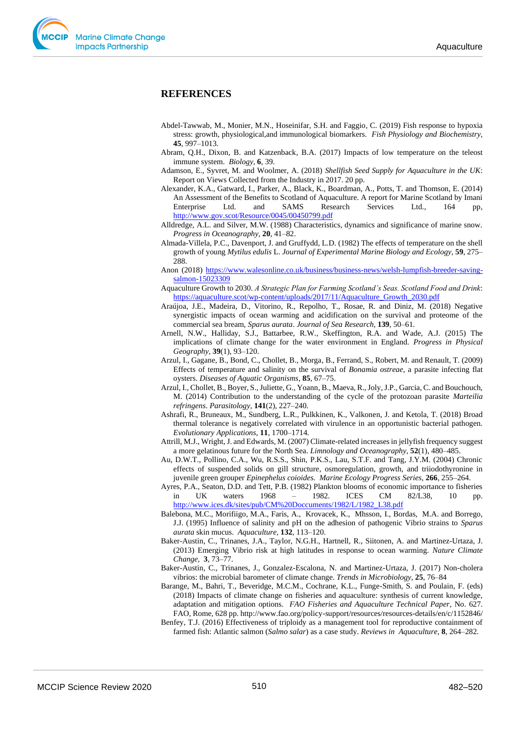

#### **REFERENCES**

- Abdel-Tawwab, M., Monier, M.N., Hoseinifar, S.H. and Faggio, C. (2019) Fish response to hypoxia stress: growth, physiological,and immunological biomarkers. *Fish Physiology and Biochemistry,* **45**, 997–1013.
- Abram, Q.H., Dixon, B. and Katzenback, B.A. (2017) Impacts of low temperature on the teleost immune system. *Biology,* **6**, 39.
- Adamson, E., Syvret, M. and Woolmer, A. (2018) *Shellfish Seed Supply for Aquaculture in the UK*: Report on Views Collected from the Industry in 2017. 20 pp.
- Alexander, K.A., Gatward, I., Parker, A., Black, K., Boardman, A., Potts, T. and Thomson, E. (2014) An Assessment of the Benefits to Scotland of Aquaculture. A report for Marine Scotland by Imani Enterprise Ltd. and SAMS Research Services Ltd., 164 pp, <http://www.gov.scot/Resource/0045/00450799.pdf>

Alldredge, A.L. and Silver, M.W. (1988) Characteristics, dynamics and significance of marine snow. *Progress in Oceanography,* **20**, 41–82.

- Almada-Villela, P.C., Davenport, J. and Gruffydd, L.D. (1982) The effects of temperature on the shell growth of young *Mytilus edulis* L. *Journal of Experimental Marine Biology and Ecology,* **59**, 275– 288.
- Anon (2018) [https://www.walesonline.co.uk/business/business-news/welsh-lumpfish-breeder-saving](https://www.walesonline.co.uk/business/business-news/welsh-lumpfish-breeder-saving-salmon-15023309)[salmon-15023309](https://www.walesonline.co.uk/business/business-news/welsh-lumpfish-breeder-saving-salmon-15023309)
- Aquaculture Growth to 2030. *A Strategic Plan for Farming Scotland's Seas. Scotland Food and Drink*: [https://aquaculture.scot/wp-content/uploads/2017/11/Aquaculture\\_Growth\\_2030.pdf](https://aquaculture.scot/wp-content/uploads/2017/11/Aquaculture_Growth_2030.pdf)
- Araújoa, J.E., Madeira, D., Vitorino, R., Repolho, T., Rosae, R. and Diniz, M. (2018) Negative synergistic impacts of ocean warming and acidification on the survival and proteome of the commercial sea bream, *Sparus aurata*. *Journal of Sea Research,* **139**, 50–61.
- Arnell, N.W., Halliday, S.J., Battarbee, R.W., Skeffington, R.A. and Wade, A.J. (2015) The implications of climate change for the water environment in England. *Progress in Physical Geography,* **39**(1), 93–120.
- Arzul, I., Gagane, B., Bond, C., Chollet, B., Morga, B., Ferrand, S., Robert, M. and Renault, T. (2009) Effects of temperature and salinity on the survival of *Bonamia ostreae*, a parasite infecting flat oysters. *Diseases of Aquatic Organisms*, **85**, 67–75.
- Arzul, I., Chollet, B., Boyer, S., Juliette, G., Yoann, B., Maeva, R., Joly, J.P., Garcia, C. and Bouchouch, M. (2014) Contribution to the understanding of the cycle of the protozoan parasite *Marteilia refringens*. *Parasitology,* **141**(2), 227–240.
- Ashrafi, R., Bruneaux, M., Sundberg, L.R., Pulkkinen, K., Valkonen, J. and Ketola, T. (2018) Broad thermal tolerance is negatively correlated with virulence in an opportunistic bacterial pathogen. *Evolutionary Applications*, **11**, 1700–1714.
- Attrill, M.J., Wright, J. and Edwards, M. (2007) Climate-related increases in jellyfish frequency suggest a more gelatinous future for the North Sea. *Limnology and Oceanography,* **52**(1), 480–485.
- Au, D.W.T., Pollino, C.A., Wu, R.S.S., Shin, P.K.S., Lau, S.T.F. and Tang, J.Y.M. (2004) Chronic effects of suspended solids on gill structure, osmoregulation, growth, and triiodothyronine in juvenile green grouper *Epinephelus coioides. Marine Ecology Progress Series,* **266**, 255–264.
- Ayres, P.A., Seaton, D.D. and Tett, P.B. (1982) Plankton blooms of economic importance to fisheries in UK waters 1968 – 1982. ICES CM 82/L38, 10 pp. [http://www.ices.dk/sites/pub/CM%20Doccuments/1982/L/1982\\_L38.pdf](http://www.ices.dk/sites/pub/CM%20Doccuments/1982/L/1982_L38.pdf)
- Balebona, M.C., Morifiigo, M.A., Faris, A., Krovacek, K., Mhsson, I., Bordas, M.A. and Borrego, J.J. (1995) Influence of salinity and pH on the adhesion of pathogenic Vibrio strains to *Sparus aurata* skin mucus. *Aquaculture,* **132**, 113–120.
- Baker-Austin, C., Trinanes, J.A., Taylor, N.G.H., Hartnell, R., Siitonen, A. and Martinez-Urtaza, J. (2013) Emerging Vibrio risk at high latitudes in response to ocean warming. *Nature Climate Change,* **3**, 73–77.
- Baker-Austin, C., Trinanes, J., Gonzalez-Escalona, N. and Martinez-Urtaza, J. (2017) Non-cholera vibrios: the microbial barometer of climate change. *Trends in Microbiology,* **25**, 76–84
- Barange, M., Bahri, T., Beveridge, M.C.M., Cochrane, K.L., Funge-Smith, S. and Poulain, F. (eds) (2018) Impacts of climate change on fisheries and aquaculture: synthesis of current knowledge, adaptation and mitigation options. *FAO Fisheries and Aquaculture Technical Paper*, No. 627. FAO, Rome, 628 pp. http://www.fao.org/policy-support/resources/resources-details/en/c/1152846/
- Benfey, T.J. (2016) Effectiveness of triploidy as a management tool for reproductive containment of farmed fish: Atlantic salmon (*Salmo salar*) as a case study. *Reviews in Aquaculture,* **8**, 264–282.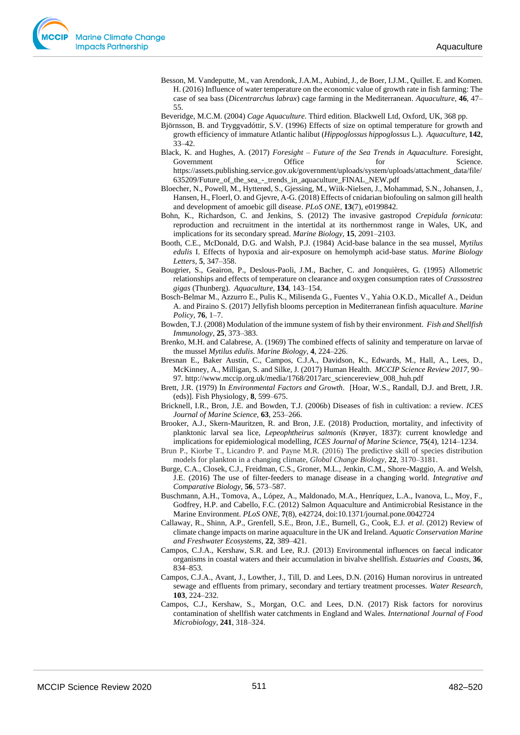- Besson, M. Vandeputte, M., van Arendonk, J.A.M., Aubind, J., de Boer, I.J.M., Quillet. E. and Komen. H. (2016) Influence of water temperature on the economic value of growth rate in fish farming: The case of sea bass (*Dicentrarchus labrax*) cage farming in the Mediterranean. *Aquaculture*, **46**, 47– 55.
- Beveridge, M.C.M. (2004) *Cage Aquaculture*. Third edition. Blackwell Ltd, Oxford, UK, 368 pp.
- Björnsson, B. and Tryggvadóttir, S.V. (1996) Effects of size on optimal temperature for growth and growth efficiency of immature Atlantic halibut (*Hippoglossus hippoglossus* L.). *Aquaculture,* **142**,  $33 - 42$
- Black, K. and Hughes, A. (2017) *Foresight – Future of the Sea Trends in Aquaculture.* Foresight, Government **Office office** for Science. https://assets.publishing.service.gov.uk/government/uploads/system/uploads/attachment\_data/file/
- 635209/Future\_of\_the\_sea\_-\_trends\_in\_aquaculture\_FINAL\_NEW.pdf Bloecher, N., Powell, M., Hytterød, S., Gjessing, M., Wiik-Nielsen, J., Mohammad, S.N., Johansen, J., Hansen, H., Floerl, O. and Gjevre, A-G. (2018) Effects of cnidarian biofouling on salmon gill health and development of amoebic gill disease. *PLoS ONE,* **13**(7), e0199842.
- Bohn, K., Richardson, C. and Jenkins, S. (2012) The invasive gastropod *Crepidula fornicata*: reproduction and recruitment in the intertidal at its northernmost range in Wales, UK, and implications for its secondary spread. *Marine Biology,* **15**, 2091–2103.
- Booth, C.E., McDonald, D.G. and Walsh, P.J. (1984) Acid-base balance in the sea mussel, *Mytilus edulis* I. Effects of hypoxia and air-exposure on hemolymph acid-base status. *Marine Biology Letters,* **5**, 347–358.
- Bougrier, S., Geairon, P., Deslous-Paoli, J.M., Bacher, C. and Jonquières, G. (1995) Allometric relationships and effects of temperature on clearance and oxygen consumption rates of *Crassostrea gigas* (Thunberg). *Aquaculture*, **134**, 143–154.
- Bosch-Belmar M., Azzurro E., Pulis K., Milisenda G., Fuentes V., Yahia O.K.D., Micallef A., Deidun A. and Piraino S. (2017) Jellyfish blooms perception in Mediterranean finfish aquaculture. *Marine Policy,* **76**, 1–7.
- Bowden, T.J. (2008) Modulation of the immune system of fish by their environment. *Fish and Shellfish Immunology,* **25**, 373–383.
- Brenko, M.H. and Calabrese, A. (1969) The combined effects of salinity and temperature on larvae of the mussel *Mytilus edulis*. *Marine Biology*, **4**, 224–226.
- Bresnan E., Baker Austin, C., Campos, C.J.A., Davidson, K., Edwards, M., Hall, A., Lees, D., McKinney, A., Milligan, S. and Silke, J. (2017) Human Health. *MCCIP Science Review 2017,* 90– 97*.* http://www.mccip.org.uk/media/1768/2017arc\_sciencereview\_008\_huh.pdf
- Brett, J.R. (1979) In *Environmental Factors and Growth*. [Hoar, W.S., Randall, D.J. and Brett, J.R. (eds)]. Fish Physiology, **8**, 599–675.
- Bricknell, I.R., Bron, J.E. and Bowden, T.J. (2006b) Diseases of fish in cultivation: a review. *ICES Journal of Marine Science,* **63**, 253–266.
- Brooker, A.J., Skern-Mauritzen, R. and Bron, J.E. (2018) Production, mortality, and infectivity of planktonic larval sea lice, *Lepeophtheirus salmonis* (Krøyer, 1837): current knowledge and implications for epidemiological modelling, *ICES Journal of Marine Science*, **75**(4), 1214–1234.
- Brun P., Kiorbe T., Licandro P. and Payne M.R. (2016) The predictive skill of species distribution models for plankton in a changing climate, *Global Change Biology*, **22**, 3170–3181.
- Burge, C.A., Closek, C.J., Freidman, C.S., Groner, M.L., Jenkin, C.M., Shore-Maggio, A. and Welsh, J.E. (2016) The use of filter-feeders to manage disease in a changing world. *Integrative and Comparative Biology,* **56**, 573–587.
- Buschmann, A.H., Tomova, A., López, A., Maldonado, M.A., Henríquez, L.A., Ivanova, L., Moy, F., Godfrey, H.P. and Cabello, F.C. (2012) Salmon Aquaculture and Antimicrobial Resistance in the Marine Environment. *PLoS ONE*, **7**(8), e42724, doi:10.1371/journal.pone.0042724
- Callaway, R., Shinn, A.P., Grenfell, S.E., Bron, J.E., Burnell, G., Cook, E.J. *et al*. (2012) Review of climate change impacts on marine aquaculture in the UK and Ireland. *Aquatic Conservation Marine and Freshwater Ecosystems,* **22**, 389–421.
- Campos, C.J.A., Kershaw, S.R. and Lee, R.J. (2013) Environmental influences on faecal indicator organisms in coastal waters and their accumulation in bivalve shellfish. *Estuaries and Coasts*, **36**, 834–853.
- Campos, C.J.A., Avant, J., Lowther, J., Till, D. and Lees, D.N. (2016) Human norovirus in untreated sewage and effluents from primary, secondary and tertiary treatment processes. *Water Research,* **103**, 224–232.
- Campos, C.J., Kershaw, S., Morgan, O.C. and Lees, D.N. (2017) Risk factors for norovirus contamination of shellfish water catchments in England and Wales. *International Journal of Food Microbiology,* **241**, 318–324.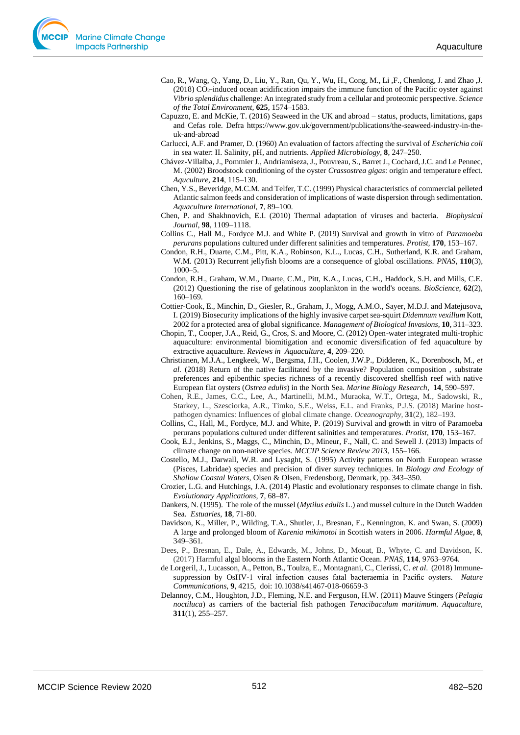- Cao, R., Wang, Q., Yang, D., Liu, Y., Ran, Qu, Y., Wu, H., Cong, M., Li ,F., Chenlong, J. and Zhao ,J. (2018) CO2-induced ocean acidification impairs the immune function of the Pacific oyster against *Vibrio splendidus* challenge: An integrated study from a cellular and proteomic perspective. *Science of the Total Environment,* **625**, 1574–1583.
- Capuzzo, E. and McKie, T. (2016) Seaweed in the UK and abroad status, products, limitations, gaps and Cefas role. Defra https://www.gov.uk/government/publications/the-seaweed-industry-in-theuk-and-abroad
- Carlucci, A.F. and Pramer, D. (1960) An evaluation of factors affecting the survival of *Escherichia coli* in sea water: II. Salinity, pH, and nutrients. *Applied Microbiology,* **8**, 247–250.
- Chávez-Villalba, J., Pommier J., Andriamiseza, J., Pouvreau, S., Barret J., Cochard, J.C. and Le Pennec, M. (2002) Broodstock conditioning of the oyster *Crassostrea gigas*: origin and temperature effect. *Aquculture*, **214**, 115–130.
- Chen, Y.S., Beveridge, M.C.M. and Telfer, T.C. (1999) Physical characteristics of commercial pelleted Atlantic salmon feeds and consideration of implications of waste dispersion through sedimentation. *Aquaculture International,* **7**, 89–100.
- Chen, P. and Shakhnovich, E.I. (2010) Thermal adaptation of viruses and bacteria. *Biophysical Journal,* **98**, 1109–1118.
- Collins C., Hall M., Fordyce M.J. and White P. (2019) Survival and growth in vitro of *Paramoeba perurans* populations cultured under different salinities and temperatures. *Protist,* **170**, 153–167.
- Condon, R.H., Duarte, C.M., Pitt, K.A., Robinson, K.L., Lucas, C.H., Sutherland, K.R. and Graham, W.M. (2013) Recurrent jellyfish blooms are a consequence of global oscillations. *PNAS,* **110**(3), 1000–5.
- Condon, R.H., Graham, W.M., Duarte, C.M., Pitt, K.A., Lucas, C.H., Haddock, S.H. and Mills, C.E. (2012) Questioning the rise of gelatinous zooplankton in the world's oceans. *BioScience,* **62**(2), 160–169.
- Cottier-Cook, E., Minchin, D., Giesler, R., Graham, J., Mogg, A.M.O., Sayer, M.D.J. and Matejusova, I. (2019) Biosecurity implications of the highly invasive carpet sea-squirt *Didemnum vexillum* Kott, 2002 for a protected area of global significance. *Management of Biological Invasions,* **10**, 311–323.
- Chopin, T., Cooper, J.A., Reid, G., Cros, S. and Moore, C. (2012) Open-water integrated multi-trophic aquaculture: environmental biomitigation and economic diversification of fed aquaculture by extractive aquaculture. *Reviews in Aquaculture,* **4**, 209–220.
- Christianen, M.J.A., Lengkeek, W., Bergsma, J.H., Coolen, J.W.P., Didderen, K., Dorenbosch, M., *et al.* (2018) Return of the native facilitated by the invasive? Population composition , substrate preferences and epibenthic species richness of a recently discovered shellfish reef with native European flat oysters (*Ostrea edulis*) in the North Sea. *Marine Biology Research,* **14**, 590–597.
- Cohen, R.E., James, C.C., Lee, A., Martinelli, M.M., Muraoka, W.T., Ortega, M., Sadowski, R., Starkey, L., Szesciorka, A.R., Timko, S.E., Weiss, E.L. and Franks, P.J.S. (2018) Marine hostpathogen dynamics: Influences of global climate change. *Oceanography,* **31**(2), 182–193.
- Collins, C., Hall, M., Fordyce, M.J. and White, P. (2019) Survival and growth in vitro of Paramoeba perurans populations cultured under different salinities and temperatures. *Protist,* **170**, 153–167.
- Cook, E.J., Jenkins, S., Maggs, C., Minchin, D., Mineur, F., Nall, C. and Sewell J. (2013) Impacts of climate change on non-native species. *MCCIP Science Review 2013*, 155–166.
- Costello, M.J., Darwall, W.R. and Lysaght, S. (1995) Activity patterns on North European wrasse (Pisces, Labridae) species and precision of diver survey techniques. In *Biology and Ecology of Shallow Coastal Waters*, Olsen & Olsen, Fredensborg, Denmark, pp. 343–350.
- Crozier, L.G. and Hutchings, J.A. (2014) Plastic and evolutionary responses to climate change in fish. *Evolutionary Applications*, **7**, 68–87.
- Dankers, N. (1995). The role of the mussel (*Mytilus edulis* L.) and mussel culture in the Dutch Wadden Sea. *Estuaries*, **18**, 71-80.
- Davidson, K., Miller, P., Wilding, T.A., Shutler, J., Bresnan, E., Kennington, K. and Swan, S. (2009) A large and prolonged bloom of *Karenia mikimotoi* in Scottish waters in 2006. *Harmful Algae,* **8**, 349–361.
- Dees, P., Bresnan, E., Dale, A., Edwards, M., Johns, D., Mouat, B., Whyte, C. and Davidson, K. (2017) Harmful algal blooms in the Eastern North Atlantic Ocean. *PNAS*, **114**, 9763–9764.
- de Lorgeril, J., Lucasson, A., Petton, B., Toulza, E., Montagnani, C., Clerissi, C. *et al*. (2018) Immunesuppression by OsHV-1 viral infection causes fatal bacteraemia in Pacific oysters. *Nature Communications,* **9**, 4215, doi: 10.1038/s41467-018-06659-3
- Delannoy, C.M., Houghton, J.D., Fleming, N.E. and Ferguson, H.W. (2011) Mauve Stingers (*Pelagia noctiluca*) as carriers of the bacterial fish pathogen *Tenacibaculum maritimum*. *Aquaculture,*  **311**(1), 255–257.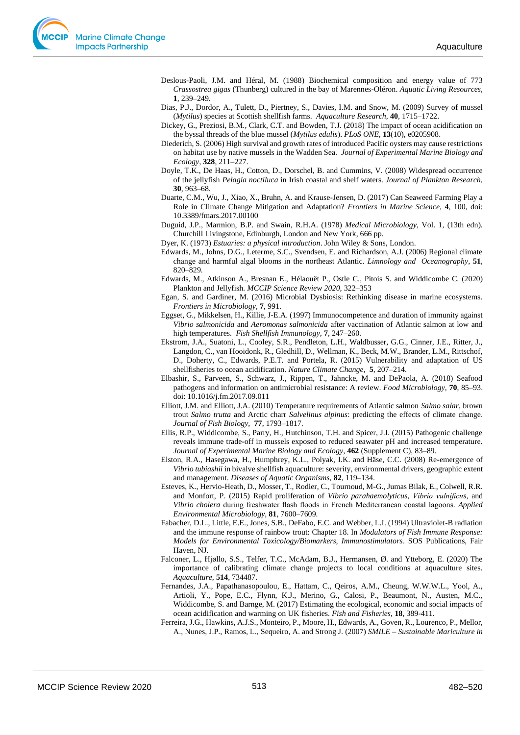- Deslous-Paoli, J.M. and Héral, M. (1988) Biochemical composition and energy value of 773 *Crassostrea gigas* (Thunberg) cultured in the bay of Marennes-Oléron. *Aquatic Living Resources,*  **1**, 239–249.
- Dias, P.J., Dordor, A., Tulett, D., Piertney, S., Davies, I.M. and Snow, M. (2009) Survey of mussel (*Mytilus*) species at Scottish shellfish farms. *Aquaculture Research,* **40**, 1715–1722.
- Dickey, G., Preziosi, B.M., Clark, C.T. and Bowden, T.J. (2018) The impact of ocean acidification on the byssal threads of the blue mussel (*Mytilus edulis*). *PLoS ONE,* **13**(10), e0205908.
- Diederich, S. (2006) High survival and growth rates of introduced Pacific oysters may cause restrictions on habitat use by native mussels in the Wadden Sea. *Journal of Experimental Marine Biology and Ecology,* **328**, 211–227.
- Doyle, T.K., De Haas, H., Cotton, D., Dorschel, B. and Cummins, V. (2008) Widespread occurrence of the jellyfish *Pelagia noctiluca* in Irish coastal and shelf waters. *Journal of Plankton Research,*  **30**, 963–68.
- Duarte, C.M., Wu, J., Xiao, X., Bruhn, A. and Krause-Jensen, D. (2017) Can Seaweed Farming Play a Role in Climate Change Mitigation and Adaptation? *Frontiers in Marine Science,* **4***,* 100, doi: 10.3389/fmars.2017.00100
- Duguid, J.P., Marmion, B.P. and Swain, R.H.A. (1978) *Medical Microbiology*, Vol. 1, (13th edn). Churchill Livingstone, Edinburgh, London and New York, 666 pp.
- Dyer, K. (1973) *Estuaries: a physical introduction*. John Wiley & Sons, London.
- Edwards, M., Johns, D.G., Leterme, S.C., Svendsen, E. and Richardson, A.J. (2006) Regional climate change and harmful algal blooms in the northeast Atlantic. *Limnology and Oceanography*, **51**, 820–829.
- Edwards, M., Atkinson A., Bresnan E., Hélaouët P., Ostle C., Pitois S. and Widdicombe C. (2020) Plankton and Jellyfish. *MCCIP Science Review 2020,* 322–353
- Egan, S. and Gardiner, M. (2016) Microbial Dysbiosis: Rethinking disease in marine ecosystems. *Frontiers in Microbiology,* **7**, 991.
- Eggset, G., Mikkelsen, H., Killie, J-E.A. (1997) Immunocompetence and duration of immunity against *Vibrio salmonicida* and *Aeromonas salmonicida* after vaccination of Atlantic salmon at low and high temperatures. *Fish Shellfish Immunology,* **7**, 247–260.
- Ekstrom, J.A., Suatoni, L., Cooley, S.R., Pendleton, L.H., Waldbusser, G.G., Cinner, J.E., Ritter, J., Langdon, C., van Hooidonk, R., Gledhill, D., Wellman, K., Beck, M.W., Brander, L.M., Rittschof, D., Doherty, C., Edwards, P.E.T. and Portela, R. (2015) Vulnerability and adaptation of US shellfisheries to ocean acidification. *Nature Climate Change,* **5**, 207–214.
- Elbashir, S., Parveen, S., Schwarz, J., Rippen, T., Jahncke, M. and DePaola, A. (2018) Seafood pathogens and information on antimicrobial resistance: A review. *Food Microbiology,* **70**, 85–93. doi: 10.1016/j.fm.2017.09.011
- Elliott, J.M. and Elliott, J.A. (2010) Temperature requirements of Atlantic salmon *Salmo salar*, brown trout *Salmo trutta* and Arctic charr *Salvelinus alpinus*: predicting the effects of climate change. *Journal of Fish Biology,* **77**, 1793–1817.
- Ellis, R.P., Widdicombe, S., Parry, H., Hutchinson, T.H. and Spicer, J.I. (2015) Pathogenic challenge reveals immune trade-off in mussels exposed to reduced seawater pH and increased temperature. *Journal of Experimental Marine Biology and Ecology,* **462** (Supplement C), 83–89.
- Elston, R.A., Hasegawa, H., Humphrey, K.L., Polyak, I.K. and Häse, C.C. (2008) Re-emergence of *Vibrio tubiashii* in bivalve shellfish aquaculture: severity, environmental drivers, geographic extent and management. *Diseases of Aquatic Organisms,* **82**, 119–134.
- Esteves, K., Hervio-Heath, D., Mosser, T., Rodier, C., Tournoud, M-G., Jumas Bilak, E., Colwell, R.R. and Monfort, P. (2015) Rapid proliferation of *Vibrio parahaemolyticus*, *Vibrio vulnificus*, and *Vibrio cholera* during freshwater flash floods in French Mediterranean coastal lagoons. *Applied Environmental Microbiology,* **81**, 7600–7609.
- Fabacher, D.L., Little, E.E., Jones, S.B., DeFabo, E.C. and Webber, L.I. (1994) Ultraviolet-B radiation and the immune response of rainbow trout: Chapter 18. In *Modulators of Fish Immune Response: Models for Environmental Toxicology/Biomarkers, Immunostimulators*. SOS Publications, Fair Haven, NJ.
- Falconer, L., Hjøllo, S.S., Telfer, T.C., McAdam, B.J., Hermansen, Ø. and Ytteborg, E. (2020) The importance of calibrating climate change projects to local conditions at aquaculture sites. *Aquaculture,* **514**, 734487.
- Fernandes, J.A., Papathanasopoulou, E., Hattam, C., Qeiros, A.M., Cheung, W.W.W.L., Yool, A., Artioli, Y., Pope, E.C., Flynn, K.J., Merino, G., Calosi, P., Beaumont, N., Austen, M.C., Widdicombe, S. and Barnge, M. (2017) Estimating the ecological, economic and social impacts of ocean acidification and warming on UK fisheries. *Fish and Fisheries,* **18**, 389-411.
- Ferreira, J.G., Hawkins, A.J.S., Monteiro, P., Moore, H., Edwards, A., Goven, R., Lourenco, P., Mellor, A., Nunes, J.P., Ramos, L., Sequeiro, A. and Strong J. (2007) *SMILE – Sustainable Mariculture in*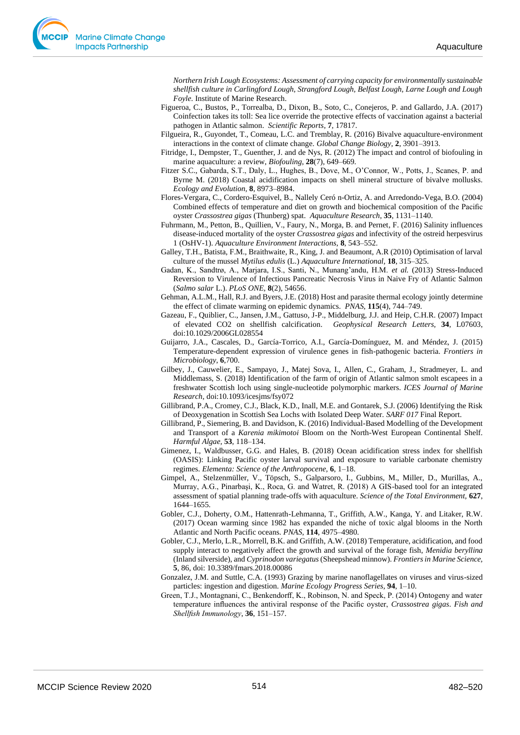*Northern Irish Lough Ecosystems: Assessment of carrying capacity for environmentally sustainable shellfish culture in Carlingford Lough, Strangford Lough, Belfast Lough, Larne Lough and Lough Foyle.* Institute of Marine Research.

- Figueroa, C., Bustos, P., Torrealba, D., Dixon, B., Soto, C., Conejeros, P. and Gallardo, J.A. (2017) Coinfection takes its toll: Sea lice override the protective effects of vaccination against a bacterial pathogen in Atlantic salmon. *Scientific Reports*, **7**, 17817.
- Filgueira, R., Guyondet, T., Comeau, L.C. and Tremblay, R. (2016) Bivalve aquaculture-environment interactions in the context of climate change. *Global Change Biology,* **2**, 3901–3913.
- Fitridge, I., Dempster, T., Guenther, J. and de Nys, R. (2012) The impact and control of biofouling in marine aquaculture: a review, *Biofouling*, **28**(7), 649–669.
- Fitzer S.C., Gabarda, S.T., Daly, L., Hughes, B., Dove, M., O'Connor, W., Potts, J., Scanes, P. and Byrne M. (2018) Coastal acidification impacts on shell mineral structure of bivalve mollusks. *Ecology and Evolution,* **8**, 8973–8984.
- Flores-Vergara, C., Cordero-Esquivel, B., Nallely Ceró n-Ortiz, A. and Arredondo-Vega, B.O. (2004) Combined effects of temperature and diet on growth and biochemical composition of the Pacific oyster *Crassostrea gigas* (Thunberg) spat. *Aquaculture Research*, **35**, 1131–1140.
- Fuhrmann, M., Petton, B., Quillien, V., Faury, N., Morga, B. and Pernet, F. (2016) Salinity influences disease-induced mortality of the oyster *Crassostrea gigas* and infectivity of the ostreid herpesvirus 1 (OsHV-1). *Aquaculture Environment Interactions,* **8**, 543–552.
- Galley, T.H., Batista, F.M., Braithwaite, R., King, J. and Beaumont, A.R (2010) Optimisation of larval culture of the mussel *Mytilus edulis* (L.) *Aquaculture International,* **18**, 315–325.
- Gadan, K., Sandtrø, A., Marjara, I.S., Santi, N., Munang'andu, H.M. *et al.* (2013) Stress-Induced Reversion to Virulence of Infectious Pancreatic Necrosis Virus in Naive Fry of Atlantic Salmon (*Salmo salar* L.). *PLoS ONE,* **8**(2), 54656.
- Gehman, A.L.M., Hall, R.J. and Byers, J.E. (2018) Host and parasite thermal ecology jointly determine the effect of climate warming on epidemic dynamics. *PNAS*, **115**(4), 744–749.
- Gazeau, F., Quiblier, C., Jansen, J.M., Gattuso, J-P., Middelburg, J.J. and Heip, C.H.R. (2007) Impact of elevated CO2 on shellfish calcification. *Geophysical Research Letters,* **34**, L07603, doi:10.1029/2006GL028554
- Guijarro, J.A., Cascales, D., García-Torrico, A.I., García-Domínguez, M. and Méndez, J. (2015) Temperature-dependent expression of virulence genes in fish-pathogenic bacteria. *Frontiers in Microbiology*, **6**,700.
- Gilbey, J., Cauwelier, E., Sampayo, J., Matej Sova, I., Allen, C., Graham, J., Stradmeyer, L. and Middlemass, S. (2018) Identification of the farm of origin of Atlantic salmon smolt escapees in a freshwater Scottish loch using single-nucleotide polymorphic markers. *ICES Journal of Marine Research,* doi:10.1093/icesjms/fsy072
- Gillibrand, P.A., Cromey, C.J., Black, K.D., Inall, M.E. and Gontarek, S.J. (2006) Identifying the Risk of Deoxygenation in Scottish Sea Lochs with Isolated Deep Water. *SARF 017* Final Report.
- Gillibrand, P., Siemering, B. and Davidson, K. (2016) Individual-Based Modelling of the Development and Transport of a *Karenia mikimotoi* Bloom on the North-West European Continental Shelf. *Harmful Algae,* **53**, 118–134.
- Gimenez, I., Waldbusser, G.G. and Hales, B. (2018) Ocean acidification stress index for shellfish (OASIS): Linking Pacific oyster larval survival and exposure to variable carbonate chemistry regimes. *Elementa: Science of the Anthropocene,* **6**, 1–18.
- Gimpel, A., Stelzenmüller, V., Töpsch, S., Galparsoro, I., Gubbins, M., Miller, D., Murillas, A., Murray, A.G., Pinarbaşi, K., Roca, G. and Watret, R. (2018) A GIS-based tool for an integrated assessment of spatial planning trade-offs with aquaculture. *Science of the Total Environment,* **627**, 1644–1655.
- Gobler, C.J., Doherty, O.M., Hattenrath-Lehmanna, T., Griffith, A.W., Kanga, Y. and Litaker, R.W. (2017) Ocean warming since 1982 has expanded the niche of toxic algal blooms in the North Atlantic and North Pacific oceans. *PNAS*, **114**, 4975–4980.
- Gobler, C.J., Merlo, L.R., Morrell, B.K. and Griffith, A.W. (2018) Temperature, acidification, and food supply interact to negatively affect the growth and survival of the forage fish, *Menidia beryllina* (Inland silverside), and *Cyprinodon variegatus*(Sheepshead minnow). *Frontiers in Marine Science,* **5**, 86, doi: 10.3389/fmars.2018.00086
- Gonzalez, J.M. and Suttle, C.A. (1993) Grazing by marine nanoflagellates on viruses and virus-sized particles: ingestion and digestion. *Marine Ecology Progress Series,* **94**, 1–10.
- Green, T.J., Montagnani, C., Benkendorff, K., Robinson, N. and Speck, P. (2014) Ontogeny and water temperature influences the antiviral response of the Pacific oyster, *Crassostrea gigas*. *Fish and Shellfish Immunology*, **36**, 151–157.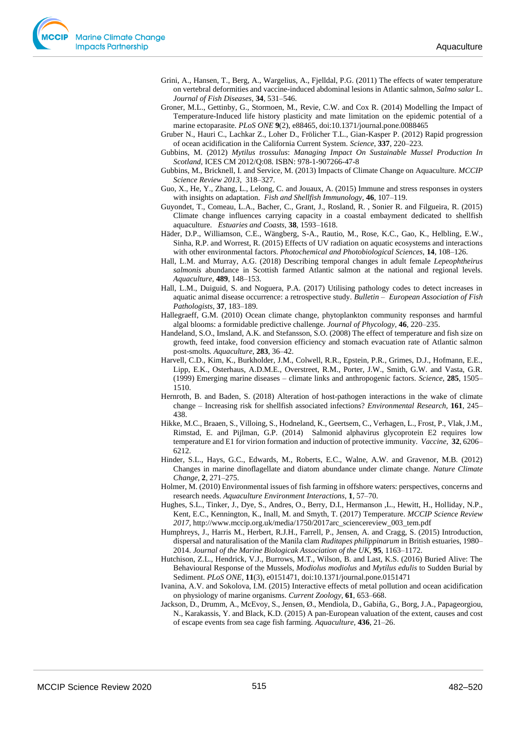- Grini, A., Hansen, T., Berg, A., Wargelius, A., Fjelldal, P.G. (2011) The effects of water temperature on vertebral deformities and vaccine-induced abdominal lesions in Atlantic salmon, *Salmo salar* L. *Journal of Fish Diseases,* **34**, 531–546.
- Groner, M.L., Gettinby, G., Stormoen, M., Revie, C.W. and Cox R. (2014) Modelling the Impact of Temperature-Induced life history plasticity and mate limitation on the epidemic potential of a marine ectoparasite. *PLoS ONE* **9**(2), e88465, doi:10.1371/journal.pone.0088465
- Gruber N., Hauri C., Lachkar Z., Loher D., Frölicher T.L., Gian-Kasper P. (2012) Rapid progression of ocean acidification in the California Current System. *Science,* **337**, 220–223.
- Gubbins, M. (2012) *Mytilus trossulus*: *Managing Impact On Sustainable Mussel Production In Scotland*, ICES CM 2012/Q:08. ISBN: 978-1-907266-47-8
- Gubbins, M., Bricknell, I. and Service, M. (2013) Impacts of Climate Change on Aquaculture. *MCCIP Science Review 2013*, 318–327.
- Guo, X., He, Y., Zhang, L., Lelong, C. and Jouaux, A. (2015) Immune and stress responses in oysters with insights on adaptation. *Fish and Shellfish Immunology,* **46**, 107–119.
- Guyondet, T., Comeau, L.A., Bacher, C., Grant, J., Rosland, R. , Sonier R. and Filgueira, R. (2015) Climate change influences carrying capacity in a coastal embayment dedicated to shellfish aquaculture. *Estuaries and Coasts,* **38**, 1593–1618.
- Häder, D.P., Williamson, C.E., Wängberg, S-A., Rautio, M., Rose, K.C., Gao, K., Helbling, E.W., Sinha, R.P. and Worrest, R. (2015) Effects of UV radiation on aquatic ecosystems and interactions with other environmental factors. *Photochemical and Photobiological Sciences,* **14**, 108–126.
- Hall, L.M. and Murray, A.G. (2018) Describing temporal changes in adult female *Lepeophtheirus salmonis* abundance in Scottish farmed Atlantic salmon at the national and regional levels. *Aquaculture,* **489**, 148–153.
- Hall, L.M., Duiguid, S. and Noguera, P.A. (2017) Utilising pathology codes to detect increases in aquatic animal disease occurrence: a retrospective study. *Bulletin – European Association of Fish Pathologists,* **37**, 183–189.
- Hallegraeff, G.M. (2010) Ocean climate change, phytoplankton community responses and harmful algal blooms: a formidable predictive challenge. *Journal of Phycology,* **46**, 220–235.
- Handeland, S.O., Imsland, A.K. and Stefansson, S.O. (2008) The effect of temperature and fish size on growth, feed intake, food conversion efficiency and stomach evacuation rate of Atlantic salmon post-smolts*. Aquaculture*, **283**, 36–42.
- Harvell, C.D., Kim, K., Burkholder, J.M., Colwell, R.R., Epstein, P.R., Grimes, D.J., Hofmann, E.E., Lipp, E.K., Osterhaus, A.D.M.E., Overstreet, R.M., Porter, J.W., Smith, G.W. and Vasta, G.R. (1999) Emerging marine diseases – climate links and anthropogenic factors. *Science,* **285**, 1505– 1510.
- Hernroth, B. and Baden, S. (2018) Alteration of host-pathogen interactions in the wake of climate change – Increasing risk for shellfish associated infections? *Environmental Research,* **161**, 245– 438.
- Hikke, M.C., Braaen, S., Villoing, S., Hodneland, K., Geertsem, C., Verhagen, L., Frost, P., Vlak, J.M., Rimstad, E. and Pijlman, G.P. (2014) Salmonid alphavirus glycoprotein E2 requires low temperature and E1 for virion formation and induction of protective immunity. *Vaccine*, **32**, 6206– 6212.
- Hinder, S.L., Hays, G.C., Edwards, M., Roberts, E.C., Walne, A.W. and Gravenor, M.B. (2012) Changes in marine dinoflagellate and diatom abundance under climate change. *Nature Climate Change,* **2**, 271–275.
- Holmer, M. (2010) Environmental issues of fish farming in offshore waters: perspectives, concerns and research needs. *Aquaculture Environment Interactions,* **1**, 57–70.
- Hughes, S.L., Tinker, J., Dye, S., Andres, O., Berry, D.I., Hermanson ,L., Hewitt, H., Holliday, N.P., Kent, E.C., Kennington, K., Inall, M. and Smyth, T. (2017) Temperature. *MCCIP Science Review 2017,* http://www.mccip.org.uk/media/1750/2017arc\_sciencereview\_003\_tem.pdf
- Humphreys, J., Harris M., Herbert, R.J.H., Farrell, P., Jensen, A. and Cragg, S. (2015) Introduction, dispersal and naturalisation of the Manila clam *Ruditapes philippinarum* in British estuaries, 1980– 2014. *Journal of the Marine Biologicak Association of the UK,* **95**, 1163–1172.
- Hutchison, Z.L., Hendrick, V.J., Burrows, M.T., Wilson, B. and Last, K.S. (2016) Buried Alive: The Behavioural Response of the Mussels, *Modiolus modiolus* and *Mytilus edulis* to Sudden Burial by Sediment. *PLoS ONE,* **11**(3), e0151471, doi:10.1371/journal.pone.0151471
- Ivanina, A.V. and Sokolova, I.M. (2015) Interactive effects of metal pollution and ocean acidification on physiology of marine organisms. *Current Zoology,* **61**, 653*–*668.
- Jackson, D., Drumm, A., McEvoy, S., Jensen, Ø., Mendiola, D., Gabiña, G., Borg, J.A., Papageorgiou, N., Karakassis, Y. and Black, K.D. (2015) A pan-European valuation of the extent, causes and cost of escape events from sea cage fish farming. *Aquaculture,* **436**, 21–26.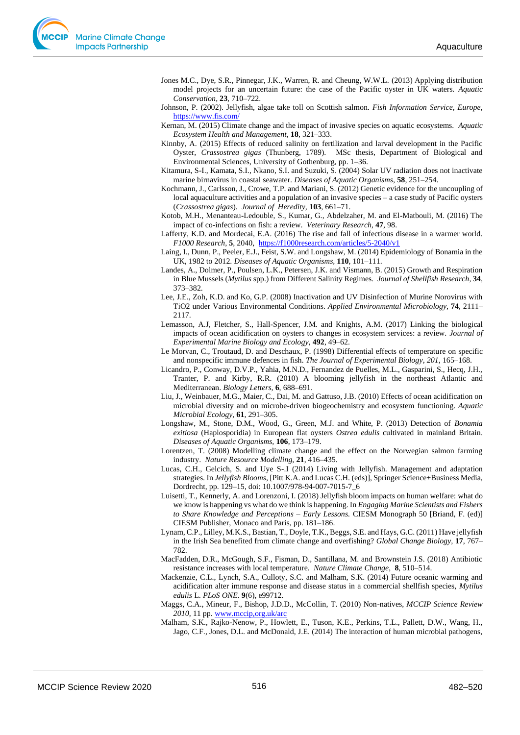- Jones M.C., Dye, S.R., Pinnegar, J.K., Warren, R. and Cheung, W.W.L. (2013) Applying distribution model projects for an uncertain future: the case of the Pacific oyster in UK waters. *Aquatic Conservation*, **23**, 710–722.
- Johnson, P. (2002). Jellyfish, algae take toll on Scottish salmon. *Fish Information Service, Europe*, <https://www.fis.com/>
- Kernan, M. (2015) Climate change and the impact of invasive species on aquatic ecosystems. *Aquatic Ecosystem Health and Management,* **18**, 321–333.
- Kinnby, A. (2015) Effects of reduced salinity on fertilization and larval development in the Pacific Oyster, *Crassostrea gigas* (Thunberg, 1789). MSc thesis, Department of Biological and Environmental Sciences, University of Gothenburg, pp. 1–36.
- Kitamura, S-I., Kamata, S.I., Nkano, S.I. and Suzuki, S. (2004) Solar UV radiation does not inactivate marine birnavirus in coastal seawater. *Diseases of Aquatic Organisms,* **58**, 251–254.
- Kochmann, J., Carlsson, J., Crowe, T.P. and Mariani, S. (2012) Genetic evidence for the uncoupling of local aquaculture activities and a population of an invasive species – a case study of Pacific oysters (*Crassostrea gigas*). *Journal of Heredity,* **103**, 661–71.
- Kotob, M.H., Menanteau-Ledouble, S., Kumar, G., Abdelzaher, M. and El-Matbouli, M. (2016) The impact of co‑infections on fish: a review. *Veterinary Research,* **47**, 98.
- Lafferty, K.D. and Mordecai, E.A. (2016) The rise and fall of infectious disease in a warmer world. *F1000 Research*, **5**, 2040, <https://f1000research.com/articles/5-2040/v1>
- Laing, I., Dunn, P., Peeler, E.J., Feist, S.W. and Longshaw, M. (2014) Epidemiology of Bonamia in the UK, 1982 to 2012. *Diseases of Aquatic Organisms,* **110**, 101–111.
- Landes, A., Dolmer, P., Poulsen, L.K., Petersen, J.K. and Vismann, B. (2015) Growth and Respiration in Blue Mussels (*Mytilus* spp.) from Different Salinity Regimes. *Journal of Shellfish Research*, **34**, 373–382.
- Lee, J.E., Zoh, K.D. and Ko, G.P. (2008) Inactivation and UV Disinfection of Murine Norovirus with TiO2 under Various Environmental Conditions. *Applied Environmental Microbiology,* **74**, 2111– 2117.
- Lemasson, A.J, Fletcher, S., Hall-Spencer, J.M. and Knights, A.M. (2017) Linking the biological impacts of ocean acidification on oysters to changes in ecosystem services: a review. *Journal of Experimental Marine Biology and Ecology,* **492**, 49–62.
- Le Morvan, C., Troutaud, D. and Deschaux, P. (1998) Differential effects of temperature on specific and nonspecific immune defences in fish. *The Journal of Experimental Biology*, *201*, 165–168.
- Licandro, P., Conway, D.V.P., Yahia, M.N.D., Fernandez de Puelles, M.L., Gasparini, S., Hecq, J.H., Tranter, P. and Kirby, R.R. (2010) A blooming jellyfish in the northeast Atlantic and Mediterranean. *Biology Letters,* **6**, 688–691.
- Liu, J., Weinbauer, M.G., Maier, C., Dai, M. and Gattuso, J.B. (2010) Effects of ocean acidification on microbial diversity and on microbe-driven biogeochemistry and ecosystem functioning. *Aquatic Microbial Ecology,* **61**, 291–305.
- Longshaw, M., Stone, D.M., Wood, G., Green, M.J. and White, P. (2013) Detection of *Bonamia exitiosa* (Haplosporidia) in European flat oysters *Ostrea edulis* cultivated in mainland Britain. *Diseases of Aquatic Organisms,* **106**, 173–179.
- Lorentzen, T. (2008) Modelling climate change and the effect on the Norwegian salmon farming industry. *Nature Resource Modelling,* **21**, 416–435.
- Lucas, C.H., Gelcich, S. and Uye S-.I (2014) Living with Jellyfish. Management and adaptation strategies. In *Jellyfish Blooms*, [Pitt K.A. and Lucas C.H. (eds)], Springer Science+Business Media, Dordrecht, pp. 129–15, doi: 10.1007/978-94-007-7015-7\_6
- Luisetti, T., Kennerly, A. and Lorenzoni, I. (2018) Jellyfish bloom impacts on human welfare: what do we know is happening vs what do we think is happening. In *Engaging Marine Scientists and Fishers to Share Knowledge and Perceptions – Early Lessons.* CIESM Monograph 50 [Briand, F. (ed)] CIESM Publisher, Monaco and Paris, pp. 181–186.
- Lynam, C.P., Lilley, M.K.S., Bastian, T., Doyle, T.K., Beggs, S.E. and Hays, G.C. (2011) Have jellyfish in the Irish Sea benefited from climate change and overfishing? *Global Change Biology,* **17**, 767– 782.
- MacFadden, D.R., McGough, S.F., Fisman, D., Santillana, M. and Brownstein J.S. (2018) Antibiotic resistance increases with local temperature. *Nature Climate Change*, **8**, 510–514.
- Mackenzie, C.L., Lynch, S.A., Culloty, S.C. and Malham, S.K. (2014) Future oceanic warming and acidification alter immune response and disease status in a commercial shellfish species, *Mytilus edulis* L. *PLoS ONE*. **9**(6), e99712.
- Maggs, C.A., Mineur, F., Bishop, J.D.D., McCollin, T. (2010) Non-natives, *MCCIP Science Review 2010*, 11 pp. [www.mccip,org.uk/arc](http://www.mccip,org.uk/arc)
- Malham, S.K., Rajko-Nenow, P., Howlett, E., Tuson, K.E., Perkins, T.L., Pallett, D.W., Wang, H., Jago, C.F., Jones, D.L. and McDonald, J.E. (2014) The interaction of human microbial pathogens,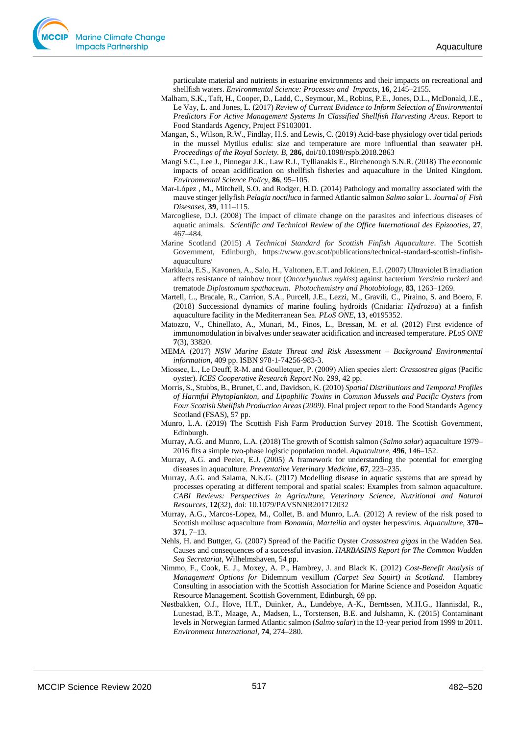particulate material and nutrients in estuarine environments and their impacts on recreational and shellfish waters. *Environmental Science: Processes and Impacts*, **16**, 2145–2155.

- Malham, S.K., Taft, H., Cooper, D., Ladd, C., Seymour, M., Robins, P.E., Jones, D.L., McDonald, J.E., Le Vay, L. and Jones, L. (2017) *Review of Current Evidence to Inform Selection of Environmental Predictors For Active Management Systems In Classified Shellfish Harvesting Areas*. Report to Food Standards Agency, Project FS103001.
- Mangan, S., Wilson, R.W., Findlay, H.S. and Lewis, C. (2019) Acid-base physiology over tidal periods in the mussel Mytilus edulis: size and temperature are more influential than seawater pH. *Proceedings of the Royal Society. B,* **286,** doi/10.1098/rspb.2018.2863
- Mangi S.C., Lee J., Pinnegar J.K., Law R.J., Tyllianakis E., Birchenough S.N.R. (2018) The economic impacts of ocean acidification on shellfish fisheries and aquaculture in the United Kingdom. *Environmental Science Policy,* **86**, 95–105.
- Mar-López , M., Mitchell, S.O. and Rodger, H.D. (2014) Pathology and mortality associated with the mauve stinger jellyfish *Pelagia noctiluca* in farmed Atlantic salmon *Salmo salar* L. *Journal of Fish Disesases,* **39**, 111–115.
- Marcogliese, D.J. (2008) The impact of climate change on the parasites and infectious diseases of aquatic animals. *Scientific and Technical Review of the Office International des Epizooties*, **27**, 467–484.
- Marine Scotland (2015) *A Technical Standard for Scottish Finfish Aquaculture*. The Scottish Government, Edinburgh, https://www.gov.scot/publications/technical-standard-scottish-finfishaquaculture/
- Markkula, E.S., Kavonen, A., Salo, H., Valtonen, E.T. and Jokinen, E.I. (2007) Ultraviolet B irradiation affects resistance of rainbow trout (*Oncorhynchus mykiss*) against bacterium *Yersinia ruckeri* and trematode *Diplostomum spathaceum*. *Photochemistry and Photobiology,* **83**, 1263–1269.
- Martell, L., Bracale, R., Carrion, S.A., Purcell, J.E., Lezzi, M., Gravili, C., Piraino, S. and Boero, F. (2018) Successional dynamics of marine fouling hydroids (Cnidaria: *Hydrozoa*) at a finfish aquaculture facility in the Mediterranean Sea. *PLoS ONE,* **13**, e0195352.
- Matozzo, V., Chinellato, A., Munari, M., Finos, L., Bressan, M. *et al.* (2012) First evidence of immunomodulation in bivalves under seawater acidification and increased temperature. *PLoS ONE* **7**(3), 33820.
- MEMA (2017) *NSW Marine Estate Threat and Risk Assessment – Background Environmental information,* 409 pp. ISBN 978-1-74256-983-3.
- Miossec, L., Le Deuff, R‐M. and Goulletquer, P. (2009) Alien species alert: *Crassostrea gigas* (Pacific oyster). *ICES Cooperative Research Report* No. 299, 42 pp.
- Morris, S., Stubbs, B., Brunet, C. and, Davidson, K. (2010) *Spatial Distributions and Temporal Profiles of Harmful Phytoplankton, and Lipophilic Toxins in Common Mussels and Pacific Oysters from Four Scottish Shellfish Production Areas (2009)*. Final project report to the Food Standards Agency Scotland (FSAS), 57 pp.
- Munro, L.A. (2019) The Scottish Fish Farm Production Survey 2018. The Scottish Government, Edinburgh.
- Murray, A.G. and Munro, L.A. (2018) The growth of Scottish salmon (*Salmo salar*) aquaculture 1979– 2016 fits a simple two-phase logistic population model. *Aquaculture,* **496**, 146–152.
- Murray, A.G. and Peeler, E.J. (2005) A framework for understanding the potential for emerging diseases in aquaculture. *Preventative Veterinary Medicine,* **67**, 223–235.
- Murray, A.G. and Salama, N.K.G. (2017) Modelling disease in aquatic systems that are spread by processes operating at different temporal and spatial scales: Examples from salmon aquaculture. *CABI Reviews: Perspectives in Agriculture, Veterinary Science, Nutritional and Natural Resources,* **12**(32), doi: 10.1079/PAVSNNR201712032
- Murray, A.G., Marcos-Lopez, M., Collet, B. and Munro, L.A. (2012) A review of the risk posed to Scottish mollusc aquaculture from *Bonamia*, *Marteilia* and oyster herpesvirus. *Aquaculture,* **370– 371**, 7–13.
- Nehls, H. and Buttger, G. (2007) Spread of the Pacific Oyster *Crassostrea gigas* in the Wadden Sea. Causes and consequences of a successful invasion. *HARBASINS Report for The Common Wadden Sea Secretariat*, Wilhelmshaven, 54 pp.
- Nimmo, F., Cook, E. J., Moxey, A. P., Hambrey, J. and Black K. (2012) *Cost-Benefit Analysis of Management Options for* Didemnum vexillum *(Carpet Sea Squirt) in Scotland.* Hambrey Consulting in association with the Scottish Association for Marine Science and Poseidon Aquatic Resource Management. Scottish Government, Edinburgh, 69 pp.
- Nøstbakken, O.J., Hove, H.T., Duinker, A., Lundebye, A-K., Berntssen, M.H.G., Hannisdal, R., Lunestad, B.T., Maage, A., Madsen, L., Torstensen, B.E. and Julshamn, K. (2015) Contaminant levels in Norwegian farmed Atlantic salmon (*Salmo salar*) in the 13-year period from 1999 to 2011. *Environment International,* **74**, 274–280.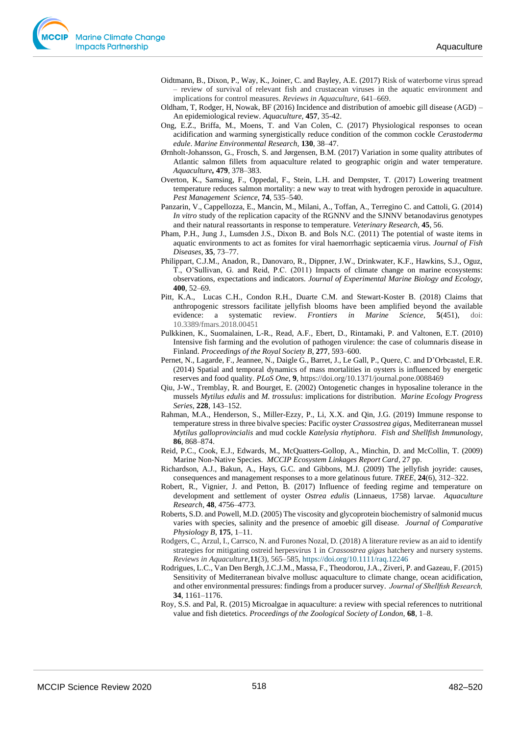- Oidtmann, B., Dixon, P., Way, K., Joiner, C. and Bayley, A.E. (2017) Risk of waterborne virus spread – review of survival of relevant fish and crustacean viruses in the aquatic environment and implications for control measures. *Reviews in Aquaculture,* 641–669.
- Oldham, T, Rodger, H, Nowak, BF (2016) Incidence and distribution of amoebic gill disease (AGD) An epidemiological review. *Aquaculture,* **457**, 35-42.
- Ong, E.Z., Briffa, M., Moens, T. and Van Colen, C. (2017) Physiological responses to ocean acidification and warming synergistically reduce condition of the common cockle *Cerastoderma edule*. *Marine Environmental Research,* **130**, 38–47.
- Ørnholt-Johansson, G., Frosch, S. and Jørgensen, B.M. (2017) Variation in some quality attributes of Atlantic salmon fillets from aquaculture related to geographic origin and water temperature. *Aquaculture,* **479**, 378–383.
- Overton, K., Samsing, F., Oppedal, F., Stein, L.H. and Dempster, T. (2017) Lowering treatment temperature reduces salmon mortality: a new way to treat with hydrogen peroxide in aquaculture. *Pest Management Science,* **74**, 535–540.
- Panzarin, V., Cappellozza, E., Mancin, M., Milani, A., Toffan, A., Terregino C. and Cattoli, G. (2014) *In vitro* study of the replication capacity of the RGNNV and the SJNNV betanodavirus genotypes and their natural reassortants in response to temperature. *Veterinary Research,* **45**, 56.
- Pham, P.H., Jung J., Lumsden J.S., Dixon B. and Bols N.C. (2011) The potential of waste items in aquatic environments to act as fomites for viral haemorrhagic septicaemia virus. *Journal of Fish Diseases,* **35**, 73–77.
- Philippart, C.J.M., Anadon, R., Danovaro, R., Dippner, J.W., Drinkwater, K.F., Hawkins, S.J., Oguz, T., O'Sullivan, G. and Reid, P.C. (2011) Impacts of climate change on marine ecosystems: observations, expectations and indicators. *Journal of Experimental Marine Biology and Ecology,*  **400**, 52–69.
- Pitt, K.A., Lucas C.H., Condon R.H., Duarte C.M. and Stewart-Koster B. (2018) Claims that anthropogenic stressors facilitate jellyfish blooms have been amplified beyond the available evidence: a systematic review. *Frontiers in Marine Science*, **5**(451), doi: 10.3389/fmars.2018.00451
- Pulkkinen, K., Suomalainen, L-R., Read, A.F., Ebert, D., Rintamaki, P. and Valtonen, E.T. (2010) Intensive fish farming and the evolution of pathogen virulence: the case of columnaris disease in Finland. *Proceedings of the Royal Society B*, **277**, 593–600.
- Pernet, N., Lagarde, F., Jeannee, N., Daigle G., Barret, J., Le Gall, P., Quere, C. and D'Orbcastel, E.R. (2014) Spatial and temporal dynamics of mass mortalities in oysters is influenced by energetic reserves and food quality. *PLoS One*, **9**,<https://doi.org/10.1371/journal.pone.0088469>
- Qiu, J-W., Tremblay, R. and Bourget, E. (2002) Ontogenetic changes in hyposaline tolerance in the mussels *Mytilus edulis* and *M. trossulus*: implications for distribution. *Marine Ecology Progress Series*, **228**, 143–152.
- Rahman, M.A., Henderson, S., Miller-Ezzy, P., Li, X.X. and Qin, J.G. (2019) Immune response to temperature stress in three bivalve species: Pacific oyster *Crassostrea gigas*, Mediterranean mussel *Mytilus galloprovincialis* and mud cockle *Katelysia rhytiphora*. *Fish and Shellfish Immunology,* **86**, 868–874.
- Reid, P.C., Cook, E.J., Edwards, M., McQuatters-Gollop, A., Minchin, D. and McCollin, T. (2009) Marine Non-Native Species. *MCCIP Ecosystem Linkages Report Card*, 27 pp.
- Richardson, A.J., Bakun, A., Hays, G.C. and Gibbons, M.J. (2009) The jellyfish joyride: causes, consequences and management responses to a more gelatinous future. *TREE,* **24**(6), 312–322.
- Robert, R., Vignier, J. and Petton, B. (2017) Influence of feeding regime and temperature on development and settlement of oyster *Ostrea edulis* (Linnaeus, 1758) larvae. *Aquaculture Research,* **48**, 4756–4773.
- Roberts, S.D. and Powell, M.D. (2005) The viscosity and glycoprotein biochemistry of salmonid mucus varies with species, salinity and the presence of amoebic gill disease. *Journal of Comparative Physiology B*, **175**, 1–11.
- Rodgers, C., Arzul, I., Carrsco, N. and Furones Nozal, D. (2018) A literature review as an aid to identify strategies for mitigating ostreid herpesvirus 1 in *Crassostrea gigas* hatchery and nursery systems. *Reviews in Aquaculture,***11**(3), 565–585, <https://doi.org/10.1111/raq.12246>
- Rodrigues, L.C., Van Den Bergh, J.C.J.M., Massa, F., Theodorou, J.A., Ziveri, P. and Gazeau, F. (2015) Sensitivity of Mediterranean bivalve mollusc aquaculture to climate change, ocean acidification, and other environmental pressures: findings from a producer survey. *Journal of Shellfish Research,* **34**, 1161–1176.
- Roy, S.S. and Pal, R. (2015) Microalgae in aquaculture: a review with special references to nutritional value and fish dietetics. *Proceedings of the Zoological Society of London,* **68**, 1–8.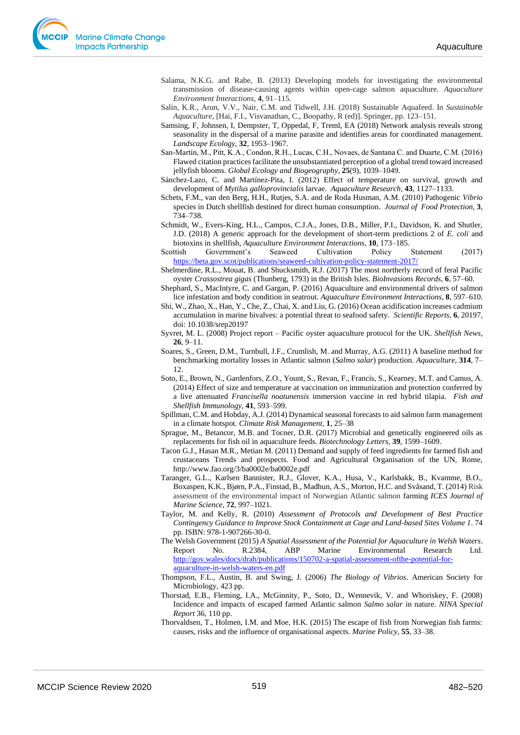- Salama, N.K.G. and Rabe, B. (2013) Developing models for investigating the environmental transmission of disease-causing agents within open-cage salmon aquaculture. *Aquaculture Environment Interactions,* **4**, 91–115.
- Salin, K.R., Arun, V.V., Nair, C.M. and Tidwell, J.H. (2018) Sustainable Aquafeed. In *Sustainable Aquaculture*, [Hai, F.I., Visvanathan, C., Boopathy, R (ed)]. Springer, pp. 123–151.
- Samsing, F, Johnsen, I, Dempster, T, Oppedal, F, Treml, EA (2018) Network analysis reveals strong seasonality in the dispersal of a marine parasite and identifies areas for coordinated management. *Landscape Ecology,* **32**, 1953–1967.
- San‐Martín, M., Pitt, K.A., Condon, R.H., Lucas, C.H., Novaes, de Santana C. and Duarte, C.M. (2016) Flawed citation practices facilitate the unsubstantiated perception of a global trend toward increased jellyfish blooms. *Global Ecology and Biogeography*, **25**(9), 1039–1049.
- Sánchez-Lazo, C. and Martínez-Pita, I. (2012) Effect of temperature on survival, growth and development of *Mytilus galloprovincialis* larvae. *Aquaculture Research,* **43**, 1127–1133.
- Schets, F.M., van den Berg, H.H., Rutjes, S.A. and de Roda Husman, A.M. (2010) Pathogenic *Vibrio* species in Dutch shellfish destined for direct human consumption. *Journal of Food Protection,* **3**, 734–738.
- Schmidt, W., Evers-King, H.L., Campos, C.J.A., Jones, D.B., Miller, P.I., Davidson, K. and Shutler, J.D. (2018) A generic approach for the development of short-term predictions 2 of *E. coli* and biotoxins in shellfish, *Aquaculture Environment Interactions*, **10**, 173–185.
- Scottish Government's Seaweed Cultivation Policy Statement (2017) <https://beta.gov.scot/publications/seaweed-cultivation-policy-statement-2017/>
- Shelmerdine, R.L., Mouat, B. and Shucksmith, R.J. (2017) The most northerly record of feral Pacific oyster *Crassostrea gigas* (Thunberg, 1793) in the British Isles. *BioInvasions Records,* **6**, 57–60.
- Shephard, S., MacIntyre, C. and Gargan, P. (2016) Aquaculture and environmental drivers of salmon lice infestation and body condition in seatrout. *Aquaculture Environment Interactions,* **8**, 597–610.
- Shi, W., Zhao, X., Han, Y., Che, Z., Chai, X. and Liu, G. (2016) Ocean acidification increases cadmium accumulation in marine bivalves: a potential threat to seafood safety. *Scientific Reports*, **6**, 20197, doi: 10.1038/srep20197
- Syvret, M. L. (2008) Project report Pacific oyster aquaculture protocol for the UK. *Shellfish News,* **26**, 9–11.
- Soares, S., Green, D.M., Turnbull, J.F., Crumlish, M. and Murray, A.G. (2011) A baseline method for benchmarking mortality losses in Atlantic salmon (*Salmo salar*) production. *Aquaculture,* **314**, 7– 12.
- Soto, E., Brown, N., Gardenfors, Z.O., Yount, S., Revan, F., Francis, S., Kearney, M.T. and Camus, A. (2014) Effect of size and temperature at vaccination on immunization and protection conferred by a live attenuated *Francisella noatunensis* immersion vaccine in red hybrid tilapia. *Fish and Shellfish Immunology,* **41**, 593–599.
- Spillman, C.M. and Hobday, A.J. (2014) Dynamical seasonal forecasts to aid salmon farm management in a climate hotspot. *Climate Risk Management,* **1**, 25–38
- Sprague, M., Betancor, M.B. and Tocner, D.R. (2017) Microbial and genetically engineered oils as replacements for fish oil in aquaculture feeds. *Biotechnology Letters,* **39**, 1599–1609.
- Tacon G.J., Hasan M.R., Metian M. (2011) Demand and supply of feed ingredients for farmed fish and crustaceans Trends and prospects. Food and Agricultural Organisation of the UN, Rome, http://www.fao.org/3/ba0002e/ba0002e.pdf
- Taranger, G.L., Karlsen Bannister, R.J., Glover, K.A., Husa, V., Karlsbakk, B., Kvamme, B.O., Boxaspen, K.K., Bjørn, P.A., Finstad, B., Madhun, A.S., Morton, H.C. and Svåsand, T. (2014) Risk assessment of the environmental impact of Norwegian Atlantic salmon farming *ICES Journal of Marine Science,* **72**, 997–1021.
- Taylor, M. and Kelly, R. (2010) *Assessment of Protocols and Development of Best Practice Contingency Guidance to Improve Stock Containment at Cage and Land-based Sites Volume 1*. 74 pp. ISBN: 978-1-907266-30-0.
- The Welsh Government (2015) *A Spatial Assessment of the Potential for Aquaculture in Welsh Waters*. Report No. R.2384, ABP Marine Environmental Research Ltd. [http://gov.wales/docs/drah/publications/150702-a-spatial-assessment-ofthe-potential-for](http://gov.wales/docs/drah/publications/150702-a-spatial-assessment-ofthe-potential-for-aquaculture-in-welsh-waters-en.pdf)[aquaculture-in-welsh-waters-en.pdf](http://gov.wales/docs/drah/publications/150702-a-spatial-assessment-ofthe-potential-for-aquaculture-in-welsh-waters-en.pdf)
- Thompson, F.L., Austin, B. and Swing, J. (2006) *The Biology of Vibrios*. American Society for Microbiology, 423 pp.
- Thorstad, E.B., Fleming, I.A., McGinnity, P., Soto, D., Wennevik, V. and Whoriskey, F. (2008) Incidence and impacts of escaped farmed Atlantic salmon *Salmo salar* in nature. *NINA Special Report* 36, 110 pp.
- Thorvaldsen, T., Holmen, I.M. and Moe, H.K. (2015) The escape of fish from Norwegian fish farms: causes, risks and the influence of organisational aspects. *Marine Policy,* **55**, 33–38.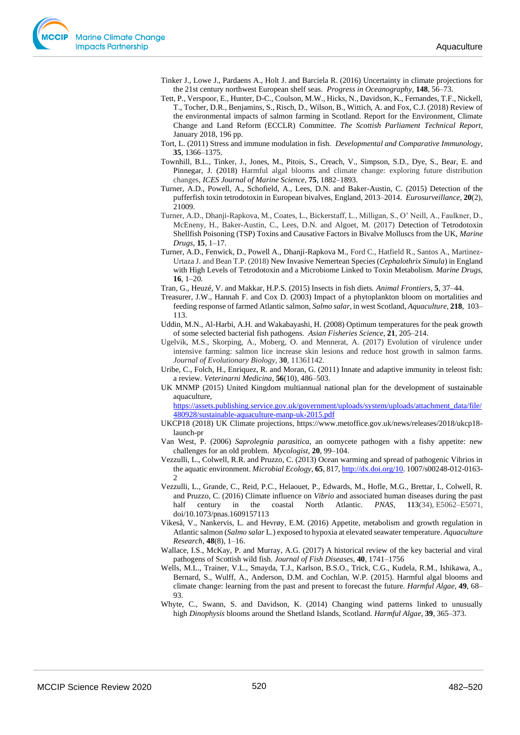Tinker J., Lowe J., Pardaens A., Holt J. and Barciela R. (2016) Uncertainty in climate projections for the 21st century northwest European shelf seas. *Progress in Oceanography,* **148**, 56–73.

- Tett, P., Verspoor, E., Hunter, D-C., Coulson, M.W., Hicks, N., Davidson, K., Fernandes, T.F., Nickell, T., Tocher, D.R., Benjamins, S., Risch, D., Wilson, B., Wittich, A. and Fox, C.J. (2018) Review of the environmental impacts of salmon farming in Scotland. Report for the Environment, Climate Change and Land Reform (ECCLR) Committee. *The Scottish Parliament Technical Report*, January 2018, 196 pp.
- Tort, L. (2011) Stress and immune modulation in fish. *Developmental and Comparative Immunology*, **35**, 1366–1375.
- Townhill, B.L., Tinker, J., Jones, M., Pitois, S., Creach, V., Simpson, S.D., Dye, S., Bear, E. and Pinnegar, J. (2018) Harmful algal blooms and climate change: exploring future distribution changes, *ICES Journal of Marine Science*, **75**, 1882–1893.
- Turner, A.D., Powell, A., Schofield, A., Lees, D.N. and Baker-Austin, C. (2015) Detection of the pufferfish toxin tetrodotoxin in European bivalves, England, 2013–2014. *Eurosurveillance,* **20**(2), 21009.
- Turner, A.D., Dhanji-Rapkova, M., Coates, L., Bickerstaff, L., Milligan, S., O' Neill, A., Faulkner, D., McEneny, H., Baker-Austin, C., Lees, D.N. and Algoet, M. (2017) Detection of Tetrodotoxin Shellfish Poisoning (TSP) Toxins and Causative Factors in Bivalve Molluscs from the UK, *Marine Drugs*, **15**, 1–17.
- Turner, A.D., Fenwick, D., Powell A., Dhanji-Rapkova M., Ford C., Hatfield R., Santos A., Martinez-Urtaza J. and Bean T.P. (2018) New Invasive Nemertean Species (*Cephalothrix Simula*) in England with High Levels of Tetrodotoxin and a Microbiome Linked to Toxin Metabolism. *Marine Drugs,* **16**, 1–20.
- Tran, G., Heuzé, V. and Makkar, H.P.S. (2015) Insects in fish diets. *Animal Frontiers*, **5**, 37–44.
- Treasurer, J.W., Hannah F. and Cox D. (2003) Impact of a phytoplankton bloom on mortalities and feeding response of farmed Atlantic salmon, *Salmo salar*, in west Scotland, *Aquaculture,* **218**, 103– 113.
- Uddin, M.N., Al-Harbi, A.H. and Wakabayashi, H. (2008) Optimum temperatures for the peak growth of some selected bacterial fish pathogens. *Asian Fisheries Science*, **21**, 205–214.
- Ugelvik, M.S., Skorping, A., Moberg, O. and Mennerat, A. (2017) Evolution of virulence under intensive farming: salmon lice increase skin lesions and reduce host growth in salmon farms. *Journal of Evolutionary Biology,* **30**, 11361142.
- Uribe, C., Folch, H., Enriquez, R. and Moran, G. (2011) Innate and adaptive immunity in teleost fish: a review. *Veterinarni Medicina*, **56**(10), 486–503.
- UK MNMP (2015) United Kingdom multiannual national plan for the development of sustainable aquaculture,

[https://assets.publishing.service.gov.uk/government/uploads/system/uploads/attachment\\_data/file/](https://assets.publishing.service.gov.uk/government/uploads/system/uploads/attachment_data/file/480928/sustainable-aquaculture-manp-uk-2015.pdf) [480928/sustainable-aquaculture-manp-uk-2015.pdf](https://assets.publishing.service.gov.uk/government/uploads/system/uploads/attachment_data/file/480928/sustainable-aquaculture-manp-uk-2015.pdf) 

- UKCP18 (2018) UK Climate projections, https://www.metoffice.gov.uk/news/releases/2018/ukcp18 launch-pr
- Van West, P. (2006) *Saprolegnia parasitica*, an oomycete pathogen with a fishy appetite: new challenges for an old problem. *Mycologist*, **20**, 99–104.
- Vezzulli, L., Colwell, R.R. and Pruzzo, C. (2013) Ocean warming and spread of pathogenic Vibrios in the aquatic environment. *Microbial Ecology*, **65**, 817[, http://dx.doi.org/10.](http://dx.doi.org/10) 1007/s00248-012-0163-  $\mathfrak{D}$
- Vezzulli, L., Grande, C., Reid, P.C., Helaouet, P., Edwards, M., Hofle, M.G., Brettar, I., Colwell, R. and Pruzzo, C. (2016) Climate influence on *Vibrio* and associated human diseases during the past half century in the coastal North Atlantic. *PNAS*, **113**(34), E5062–E5071, doi/10.1073/pnas.1609157113
- Vikeså, V., Nankervis, L. and Hevrøy, E.M. (2016) Appetite, metabolism and growth regulation in Atlantic salmon (*Salmo salar* L.) exposed to hypoxia at elevated seawater temperature. *Aquaculture Research*, **48**(8), 1–16.
- Wallace, I.S., McKay, P. and Murray, A.G. (2017) A historical review of the key bacterial and viral pathogens of Scottish wild fish. *Journal of Fish Diseases*, **40**, 1741–1756
- Wells, M.L., Trainer, V.L., Smayda, T.J., Karlson, B.S.O., Trick, C.G., Kudela, R.M., Ishikawa, A., Bernard, S., Wulff, A., Anderson, D.M. and Cochlan, W.P. (2015). Harmful algal blooms and climate change: learning from the past and present to forecast the future. *Harmful Algae,* **49**, 68– 93.
- Whyte, C., Swann, S. and Davidson, K. (2014) Changing wind patterns linked to unusually high *Dinophysis* blooms around the Shetland Islands, Scotland. *Harmful Algae*, **39**, 365–373.